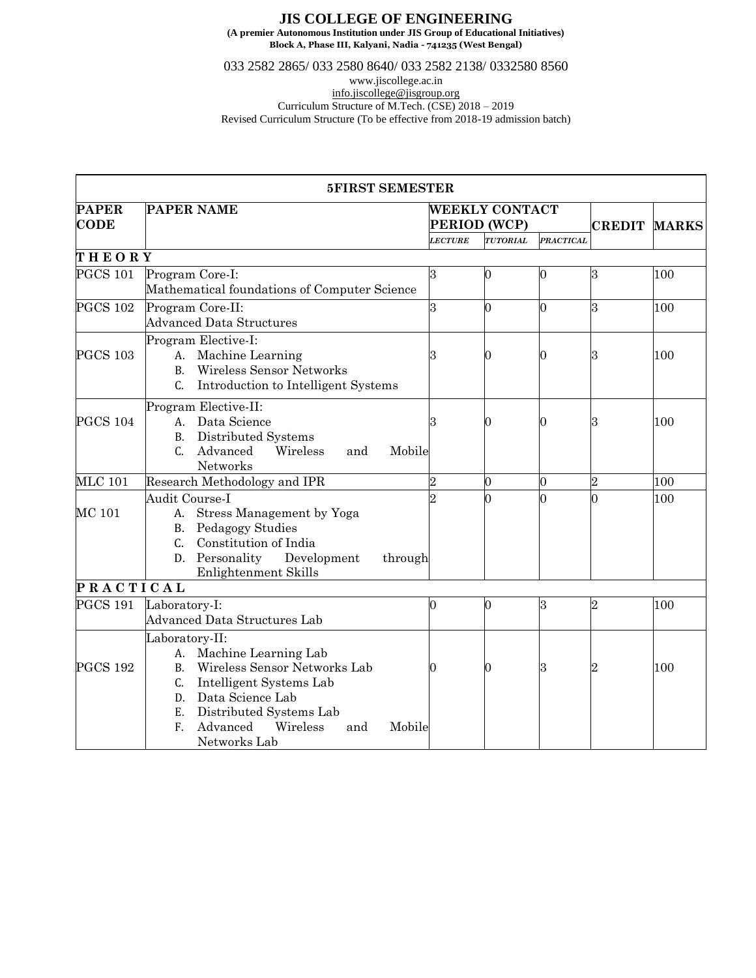## **JIS COLLEGE OF ENGINEERING**

**(A premier Autonomous Institution under JIS Group of Educational Initiatives) Block A, Phase III, Kalyani, Nadia - 741235 (West Bengal)**

033 2582 2865/ 033 2580 8640/ 033 2582 2138/ 0332580 8560

www.jiscollege.ac.in

[info.jiscollege@jisgroup.org](mailto:info.jiscollege@jisgroup.org)

Curriculum Structure of M.Tech. (CSE) 2018 – 2019 Revised Curriculum Structure (To be effective from 2018-19 admission batch)

|                             | <b>5FIRST SEMESTER</b>                                                                                                                                                                                                                               |                                       |          |                  |                  |              |
|-----------------------------|------------------------------------------------------------------------------------------------------------------------------------------------------------------------------------------------------------------------------------------------------|---------------------------------------|----------|------------------|------------------|--------------|
| <b>PAPER</b><br><b>CODE</b> | <b>PAPER NAME</b>                                                                                                                                                                                                                                    | <b>WEEKLY CONTACT</b><br>PERIOD (WCP) |          |                  | <b>CREDIT</b>    | <b>MARKS</b> |
|                             |                                                                                                                                                                                                                                                      |                                       | TUTORIAL | <b>PRACTICAL</b> |                  |              |
| THEORY                      |                                                                                                                                                                                                                                                      |                                       |          |                  |                  |              |
| <b>PGCS 101</b>             | Program Core-I:<br>Mathematical foundations of Computer Science                                                                                                                                                                                      | 3                                     |          | 0                | $\overline{3}$   | 100          |
| <b>PGCS 102</b>             | Program Core-II:<br><b>Advanced Data Structures</b>                                                                                                                                                                                                  | 3                                     |          | ∩                | 3                | 100          |
| <b>PGCS 103</b>             | Program Elective-I:<br>A. Machine Learning<br>Wireless Sensor Networks<br><b>B.</b><br>Introduction to Intelligent Systems<br>C.                                                                                                                     | З                                     |          |                  | $\boldsymbol{3}$ | 100          |
| <b>PGCS 104</b>             | Program Elective-II:<br>Data Science<br>A.<br>Distributed Systems<br><b>B.</b><br>$C_{\cdot}$<br>Advanced<br>Wireless<br>Mobile<br>and<br>Networks                                                                                                   | З                                     |          |                  | 3                | 100          |
| <b>MLC 101</b>              | Research Methodology and IPR                                                                                                                                                                                                                         | $\overline{2}$                        | 0        | 0                | 2                | 100          |
| MC 101                      | Audit Course-I<br>Stress Management by Yoga<br>A.<br>Pedagogy Studies<br>B.<br>Constitution of India<br>$C_{\cdot}$<br>Personality<br>Development<br>D.<br>through<br>Enlightenment Skills                                                           |                                       |          |                  |                  | 100          |
| PRACTICAL                   |                                                                                                                                                                                                                                                      |                                       |          |                  |                  |              |
| <b>PGCS 191</b>             | Laboratory-I:<br>Advanced Data Structures Lab                                                                                                                                                                                                        | 0                                     | 0        | 3                | 2                | 100          |
| <b>PGCS 192</b>             | Laboratory-II:<br>Machine Learning Lab<br>A.<br>Wireless Sensor Networks Lab<br><b>B.</b><br>Intelligent Systems Lab<br>C.<br>Data Science Lab<br>D.<br>E.<br>Distributed Systems Lab<br>Advanced<br>F.<br>Wireless<br>Mobile<br>and<br>Networks Lab |                                       |          |                  | $\overline{2}$   | 100          |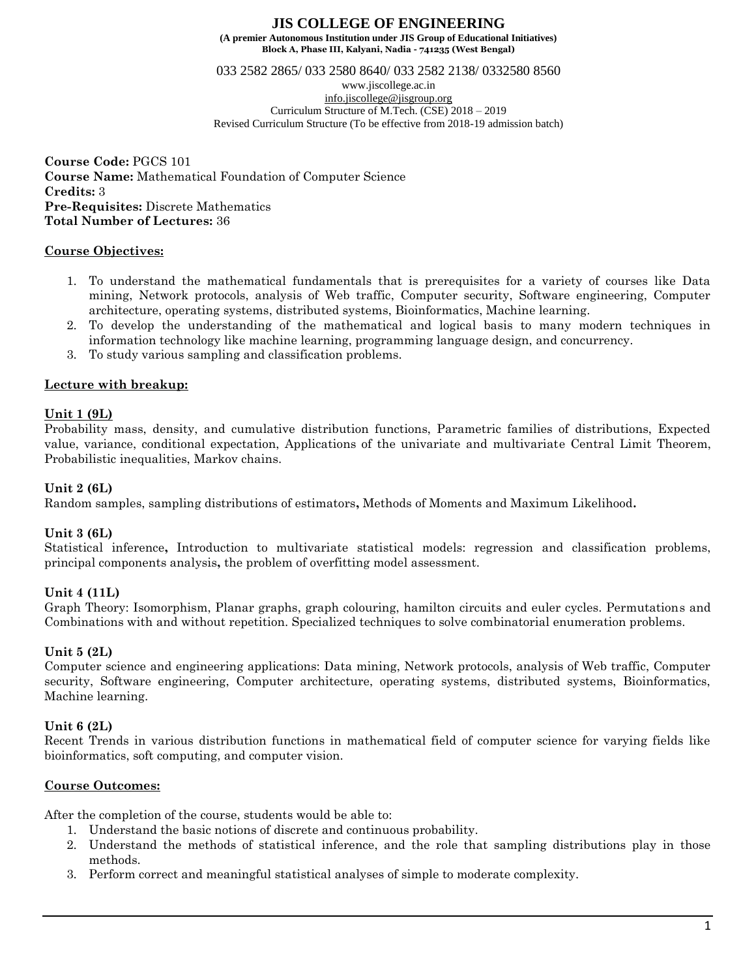033 2582 2865/ 033 2580 8640/ 033 2582 2138/ 0332580 8560

www.jiscollege.ac.in [info.jiscollege@jisgroup.org](mailto:info.jiscollege@jisgroup.org) Curriculum Structure of M.Tech. (CSE) 2018 – 2019 Revised Curriculum Structure (To be effective from 2018-19 admission batch)

**Course Code:** PGCS 101 **Course Name:** Mathematical Foundation of Computer Science **Credits:** 3 **Pre-Requisites:** Discrete Mathematics **Total Number of Lectures:** 36

## **Course Objectives:**

- 1. To understand the mathematical fundamentals that is prerequisites for a variety of courses like Data mining, Network protocols, analysis of Web traffic, Computer security, Software engineering, Computer architecture, operating systems, distributed systems, Bioinformatics, Machine learning.
- 2. To develop the understanding of the mathematical and logical basis to many modern techniques in information technology like machine learning, programming language design, and concurrency.
- 3. To study various sampling and classification problems.

## **Lecture with breakup:**

### **Unit 1 (9L)**

Probability mass, density, and cumulative distribution functions, Parametric families of distributions, Expected value, variance, conditional expectation, Applications of the univariate and multivariate Central Limit Theorem, Probabilistic inequalities, Markov chains.

### **Unit 2 (6L)**

Random samples, sampling distributions of estimators**,** Methods of Moments and Maximum Likelihood**.**

### **Unit 3 (6L)**

Statistical inference**,** Introduction to multivariate statistical models: regression and classification problems, principal components analysis**,** the problem of overfitting model assessment.

# **Unit 4 (11L)**

Graph Theory: Isomorphism, Planar graphs, graph colouring, hamilton circuits and euler cycles. Permutations and Combinations with and without repetition. Specialized techniques to solve combinatorial enumeration problems.

### **Unit 5 (2L)**

Computer science and engineering applications: Data mining, Network protocols, analysis of Web traffic, Computer security, Software engineering, Computer architecture, operating systems, distributed systems, Bioinformatics, Machine learning.

### **Unit 6 (2L)**

Recent Trends in various distribution functions in mathematical field of computer science for varying fields like bioinformatics, soft computing, and computer vision.

### **Course Outcomes:**

After the completion of the course, students would be able to:

- 1. Understand the basic notions of discrete and continuous probability.
- 2. Understand the methods of statistical inference, and the role that sampling distributions play in those methods.
- 3. Perform correct and meaningful statistical analyses of simple to moderate complexity.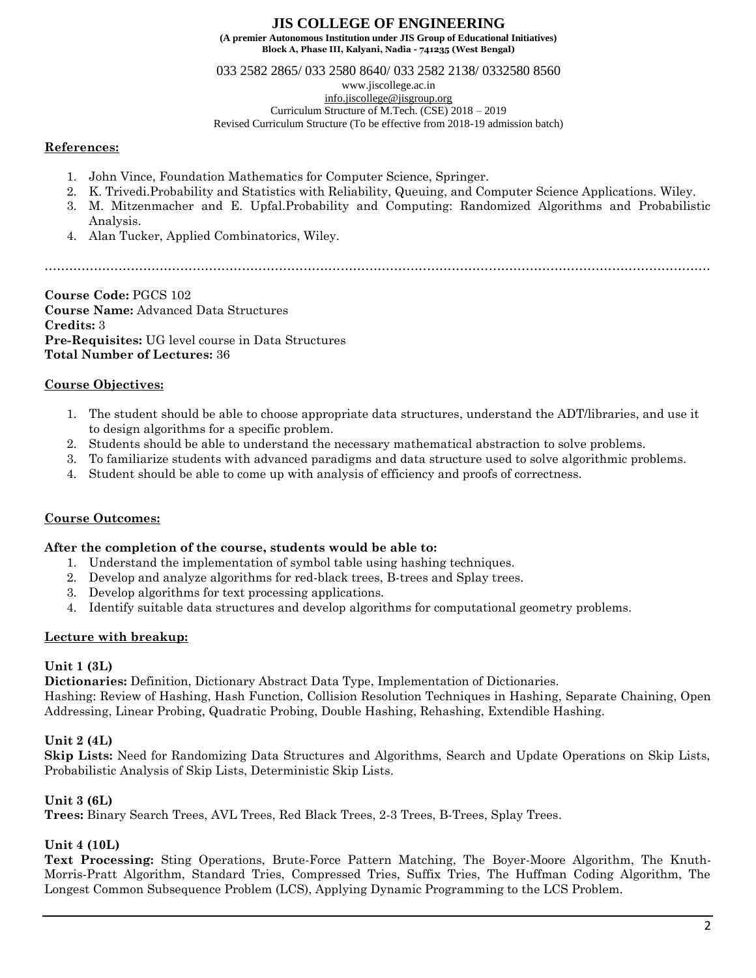**Block A, Phase III, Kalyani, Nadia - 741235 (West Bengal)**

033 2582 2865/ 033 2580 8640/ 033 2582 2138/ 0332580 8560

www.jiscollege.ac.in

[info.jiscollege@jisgroup.org](mailto:info.jiscollege@jisgroup.org) Curriculum Structure of M.Tech. (CSE) 2018 – 2019

Revised Curriculum Structure (To be effective from 2018-19 admission batch)

## **References:**

- 1. John Vince, Foundation Mathematics for Computer Science, Springer.
- 2. K. Trivedi.Probability and Statistics with Reliability, Queuing, and Computer Science Applications. Wiley.
- 3. M. Mitzenmacher and E. Upfal.Probability and Computing: Randomized Algorithms and Probabilistic Analysis.
- 4. Alan Tucker, Applied Combinatorics, Wiley.

………………………………………………………………………………………………………………………………………………

**Course Code:** PGCS 102 **Course Name:** Advanced Data Structures **Credits:** 3 **Pre-Requisites:** UG level course in Data Structures **Total Number of Lectures:** 36

# **Course Objectives:**

- 1. The student should be able to choose appropriate data structures, understand the ADT/libraries, and use it to design algorithms for a specific problem.
- 2. Students should be able to understand the necessary mathematical abstraction to solve problems.
- 3. To familiarize students with advanced paradigms and data structure used to solve algorithmic problems.
- 4. Student should be able to come up with analysis of efficiency and proofs of correctness.

# **Course Outcomes:**

### **After the completion of the course, students would be able to:**

- 1. Understand the implementation of symbol table using hashing techniques.
- 2. Develop and analyze algorithms for red-black trees, B-trees and Splay trees.
- 3. Develop algorithms for text processing applications.
- 4. Identify suitable data structures and develop algorithms for computational geometry problems.

# **Lecture with breakup:**

# **Unit 1 (3L)**

**Dictionaries:** Definition, Dictionary Abstract Data Type, Implementation of Dictionaries.

Hashing: Review of Hashing, Hash Function, Collision Resolution Techniques in Hashing, Separate Chaining, Open Addressing, Linear Probing, Quadratic Probing, Double Hashing, Rehashing, Extendible Hashing.

# **Unit 2 (4L)**

**Skip Lists:** Need for Randomizing Data Structures and Algorithms, Search and Update Operations on Skip Lists, Probabilistic Analysis of Skip Lists, Deterministic Skip Lists.

# **Unit 3 (6L)**

**Trees:** Binary Search Trees, AVL Trees, Red Black Trees, 2-3 Trees, B-Trees, Splay Trees.

# **Unit 4 (10L)**

**Text Processing:** Sting Operations, Brute-Force Pattern Matching, The Boyer-Moore Algorithm, The Knuth-Morris-Pratt Algorithm, Standard Tries, Compressed Tries, Suffix Tries, The Huffman Coding Algorithm, The Longest Common Subsequence Problem (LCS), Applying Dynamic Programming to the LCS Problem.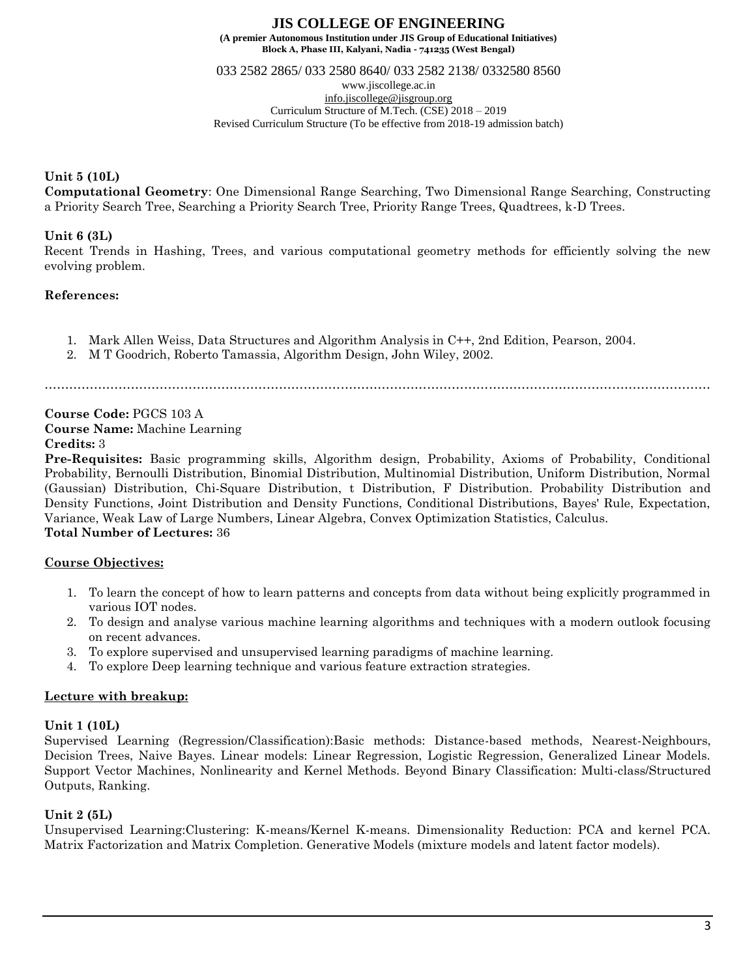033 2582 2865/ 033 2580 8640/ 033 2582 2138/ 0332580 8560

www.jiscollege.ac.in [info.jiscollege@jisgroup.org](mailto:info.jiscollege@jisgroup.org) Curriculum Structure of M.Tech. (CSE) 2018 – 2019 Revised Curriculum Structure (To be effective from 2018-19 admission batch)

# **Unit 5 (10L)**

**Computational Geometry**: One Dimensional Range Searching, Two Dimensional Range Searching, Constructing a Priority Search Tree, Searching a Priority Search Tree, Priority Range Trees, Quadtrees, k-D Trees.

## **Unit 6 (3L)**

Recent Trends in Hashing, Trees, and various computational geometry methods for efficiently solving the new evolving problem.

## **References:**

- 1. Mark Allen Weiss, Data Structures and Algorithm Analysis in C++, 2nd Edition, Pearson, 2004.
- 2. M T Goodrich, Roberto Tamassia, Algorithm Design, John Wiley, 2002.

………………………………………………………………………………………………………………………………………………

**Course Code:** PGCS 103 A **Course Name:** Machine Learning **Credits:** 3

**Pre-Requisites:** Basic programming skills, Algorithm design, Probability, Axioms of Probability, Conditional Probability, Bernoulli Distribution, Binomial Distribution, Multinomial Distribution, Uniform Distribution, Normal (Gaussian) Distribution, Chi-Square Distribution, t Distribution, F Distribution. Probability Distribution and Density Functions, Joint Distribution and Density Functions, Conditional Distributions, Bayes' Rule, Expectation, Variance, Weak Law of Large Numbers, Linear Algebra, Convex Optimization Statistics, Calculus. **Total Number of Lectures:** 36

# **Course Objectives:**

- 1. To learn the concept of how to learn patterns and concepts from data without being explicitly programmed in various IOT nodes.
- 2. To design and analyse various machine learning algorithms and techniques with a modern outlook focusing on recent advances.
- 3. To explore supervised and unsupervised learning paradigms of machine learning.
- 4. To explore Deep learning technique and various feature extraction strategies.

### **Lecture with breakup:**

### **Unit 1 (10L)**

Supervised Learning (Regression/Classification):Basic methods: Distance-based methods, Nearest-Neighbours, Decision Trees, Naive Bayes. Linear models: Linear Regression, Logistic Regression, Generalized Linear Models. Support Vector Machines, Nonlinearity and Kernel Methods. Beyond Binary Classification: Multi-class/Structured Outputs, Ranking.

# **Unit 2 (5L)**

Unsupervised Learning:Clustering: K-means/Kernel K-means. Dimensionality Reduction: PCA and kernel PCA. Matrix Factorization and Matrix Completion. Generative Models (mixture models and latent factor models).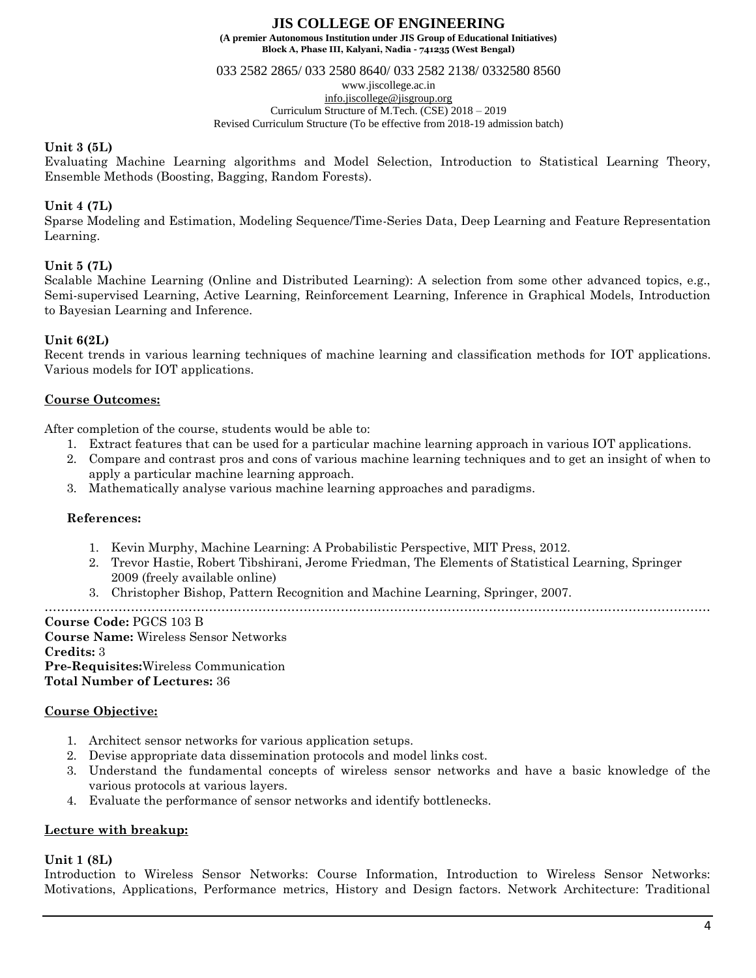**Block A, Phase III, Kalyani, Nadia - 741235 (West Bengal)**

033 2582 2865/ 033 2580 8640/ 033 2582 2138/ 0332580 8560

www.jiscollege.ac.in

[info.jiscollege@jisgroup.org](mailto:info.jiscollege@jisgroup.org) Curriculum Structure of M.Tech. (CSE) 2018 – 2019

Revised Curriculum Structure (To be effective from 2018-19 admission batch)

# **Unit 3 (5L)**

Evaluating Machine Learning algorithms and Model Selection, Introduction to Statistical Learning Theory, Ensemble Methods (Boosting, Bagging, Random Forests).

# **Unit 4 (7L)**

Sparse Modeling and Estimation, Modeling Sequence/Time-Series Data, Deep Learning and Feature Representation Learning.

# **Unit 5 (7L)**

Scalable Machine Learning (Online and Distributed Learning): A selection from some other advanced topics, e.g., Semi-supervised Learning, Active Learning, Reinforcement Learning, Inference in Graphical Models, Introduction to Bayesian Learning and Inference.

## **Unit 6(2L)**

Recent trends in various learning techniques of machine learning and classification methods for IOT applications. Various models for IOT applications.

## **Course Outcomes:**

After completion of the course, students would be able to:

- 1. Extract features that can be used for a particular machine learning approach in various IOT applications.
- 2. Compare and contrast pros and cons of various machine learning techniques and to get an insight of when to apply a particular machine learning approach.
- 3. Mathematically analyse various machine learning approaches and paradigms.

### **References:**

- 1. Kevin Murphy, Machine Learning: A Probabilistic Perspective, MIT Press, 2012.
- 2. Trevor Hastie, Robert Tibshirani, Jerome Friedman, The Elements of Statistical Learning, Springer 2009 (freely available online)
- 3. Christopher Bishop, Pattern Recognition and Machine Learning, Springer, 2007.

………………………………………………………………………………………………………………………………………………

**Course Code:** PGCS 103 B **Course Name:** Wireless Sensor Networks **Credits:** 3 **Pre-Requisites:**Wireless Communication **Total Number of Lectures:** 36

### **Course Objective:**

- 1. Architect sensor networks for various application setups.
- 2. Devise appropriate data dissemination protocols and model links cost.
- 3. Understand the fundamental concepts of wireless sensor networks and have a basic knowledge of the various protocols at various layers.
- 4. Evaluate the performance of sensor networks and identify bottlenecks.

### **Lecture with breakup:**

### **Unit 1 (8L)**

Introduction to Wireless Sensor Networks: Course Information, Introduction to Wireless Sensor Networks: Motivations, Applications, Performance metrics, History and Design factors. Network Architecture: Traditional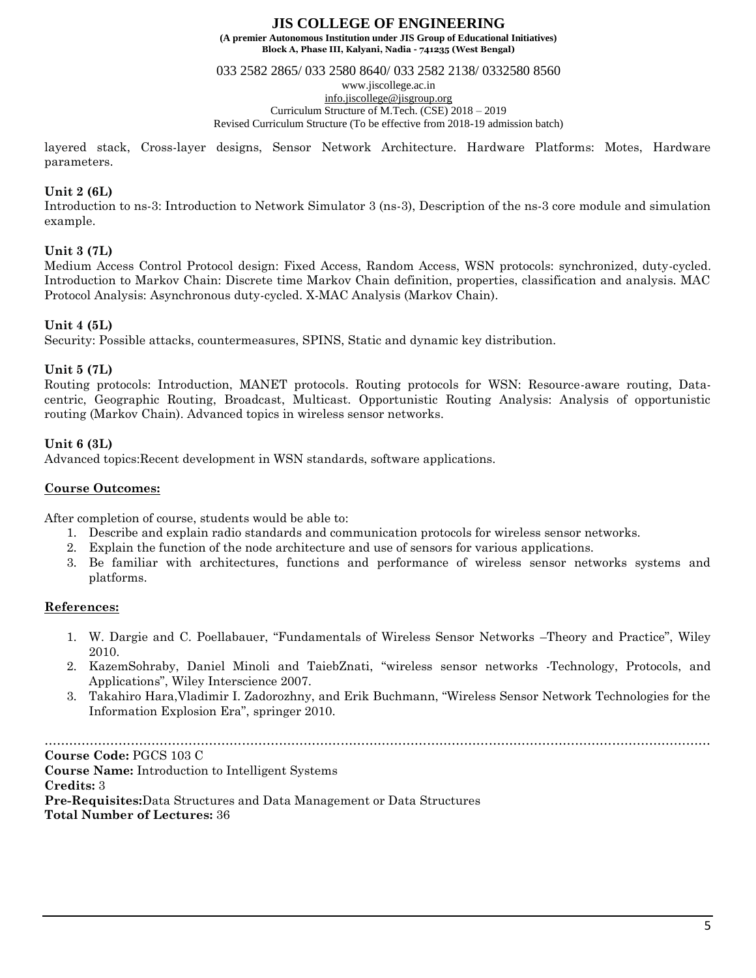033 2582 2865/ 033 2580 8640/ 033 2582 2138/ 0332580 8560

www.jiscollege.ac.in

[info.jiscollege@jisgroup.org](mailto:info.jiscollege@jisgroup.org) Curriculum Structure of M.Tech. (CSE) 2018 – 2019

Revised Curriculum Structure (To be effective from 2018-19 admission batch)

layered stack, Cross-layer designs, Sensor Network Architecture. Hardware Platforms: Motes, Hardware parameters.

# **Unit 2 (6L)**

Introduction to ns-3: Introduction to Network Simulator 3 (ns-3), Description of the ns-3 core module and simulation example.

# **Unit 3 (7L)**

Medium Access Control Protocol design: Fixed Access, Random Access, WSN protocols: synchronized, duty-cycled. Introduction to Markov Chain: Discrete time Markov Chain definition, properties, classification and analysis. MAC Protocol Analysis: Asynchronous duty-cycled. X-MAC Analysis (Markov Chain).

# **Unit 4 (5L)**

Security: Possible attacks, countermeasures, SPINS, Static and dynamic key distribution.

## **Unit 5 (7L)**

Routing protocols: Introduction, MANET protocols. Routing protocols for WSN: Resource-aware routing, Datacentric, Geographic Routing, Broadcast, Multicast. Opportunistic Routing Analysis: Analysis of opportunistic routing (Markov Chain). Advanced topics in wireless sensor networks.

## **Unit 6 (3L)**

Advanced topics:Recent development in WSN standards, software applications.

#### **Course Outcomes:**

After completion of course, students would be able to:

- 1. Describe and explain radio standards and communication protocols for wireless sensor networks.
- 2. Explain the function of the node architecture and use of sensors for various applications.
- 3. Be familiar with architectures, functions and performance of wireless sensor networks systems and platforms.

### **References:**

- 1. W. Dargie and C. Poellabauer, "Fundamentals of Wireless Sensor Networks –Theory and Practice", Wiley 2010.
- 2. KazemSohraby, Daniel Minoli and TaiebZnati, "wireless sensor networks -Technology, Protocols, and Applications", Wiley Interscience 2007.
- 3. Takahiro Hara,Vladimir I. Zadorozhny, and Erik Buchmann, "Wireless Sensor Network Technologies for the Information Explosion Era", springer 2010.

……………………………………………………………………………………………………………………………………………… **Course Code:** PGCS 103 C

**Course Name:** Introduction to Intelligent Systems

### **Credits:** 3

**Pre-Requisites:**Data Structures and Data Management or Data Structures **Total Number of Lectures:** 36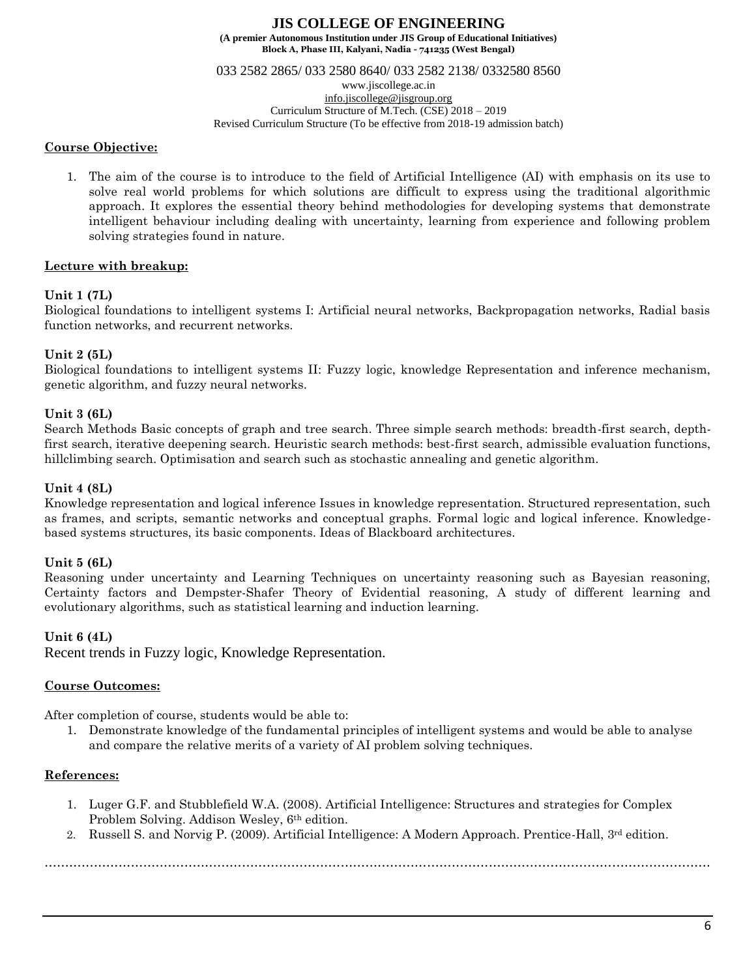033 2582 2865/ 033 2580 8640/ 033 2582 2138/ 0332580 8560

www.jiscollege.ac.in [info.jiscollege@jisgroup.org](mailto:info.jiscollege@jisgroup.org)

Curriculum Structure of M.Tech. (CSE) 2018 – 2019

Revised Curriculum Structure (To be effective from 2018-19 admission batch)

### **Course Objective:**

1. The aim of the course is to introduce to the field of Artificial Intelligence (AI) with emphasis on its use to solve real world problems for which solutions are difficult to express using the traditional algorithmic approach. It explores the essential theory behind methodologies for developing systems that demonstrate intelligent behaviour including dealing with uncertainty, learning from experience and following problem solving strategies found in nature.

# **Lecture with breakup:**

## **Unit 1 (7L)**

Biological foundations to intelligent systems I: Artificial neural networks, Backpropagation networks, Radial basis function networks, and recurrent networks.

## **Unit 2 (5L)**

Biological foundations to intelligent systems II: Fuzzy logic, knowledge Representation and inference mechanism, genetic algorithm, and fuzzy neural networks.

## **Unit 3 (6L)**

Search Methods Basic concepts of graph and tree search. Three simple search methods: breadth-first search, depthfirst search, iterative deepening search. Heuristic search methods: best-first search, admissible evaluation functions, hillclimbing search. Optimisation and search such as stochastic annealing and genetic algorithm.

### **Unit 4 (8L)**

Knowledge representation and logical inference Issues in knowledge representation. Structured representation, such as frames, and scripts, semantic networks and conceptual graphs. Formal logic and logical inference. Knowledgebased systems structures, its basic components. Ideas of Blackboard architectures.

### **Unit 5 (6L)**

Reasoning under uncertainty and Learning Techniques on uncertainty reasoning such as Bayesian reasoning, Certainty factors and Dempster-Shafer Theory of Evidential reasoning, A study of different learning and evolutionary algorithms, such as statistical learning and induction learning.

### **Unit 6 (4L)**

Recent trends in Fuzzy logic, Knowledge Representation.

### **Course Outcomes:**

After completion of course, students would be able to:

1. Demonstrate knowledge of the fundamental principles of intelligent systems and would be able to analyse and compare the relative merits of a variety of AI problem solving techniques.

### **References:**

- 1. Luger G.F. and Stubblefield W.A. (2008). Artificial Intelligence: Structures and strategies for Complex Problem Solving. Addison Wesley, 6th edition.
- 2. Russell S. and Norvig P. (2009). Artificial Intelligence: A Modern Approach. Prentice-Hall, 3rd edition.

………………………………………………………………………………………………………………………………………………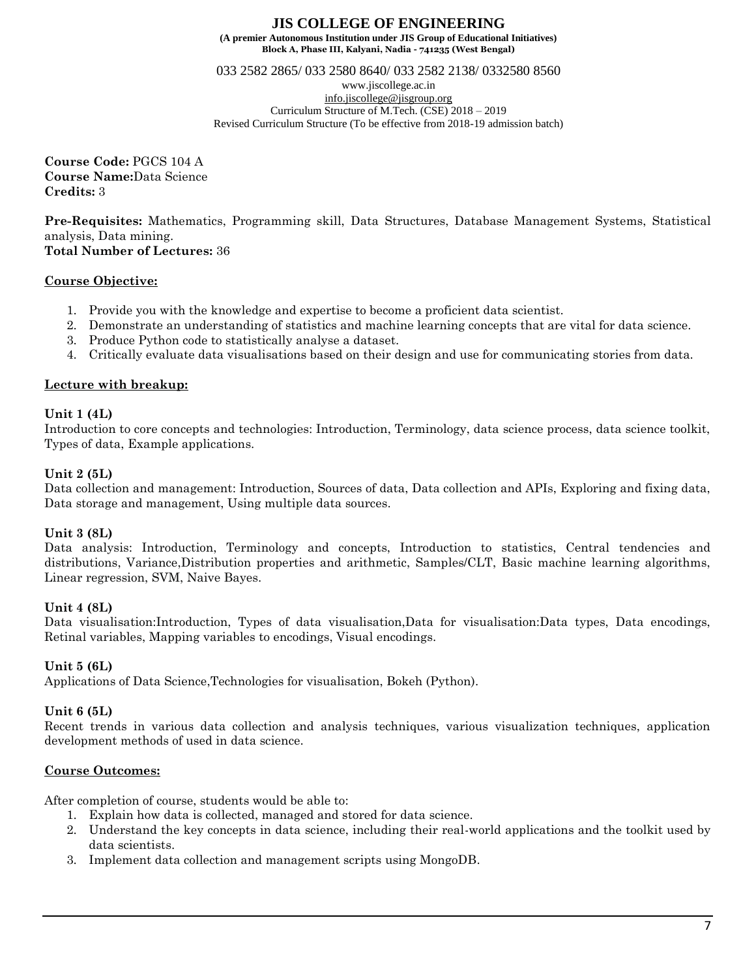**Block A, Phase III, Kalyani, Nadia - 741235 (West Bengal)**

033 2582 2865/ 033 2580 8640/ 033 2582 2138/ 0332580 8560

www.jiscollege.ac.in [info.jiscollege@jisgroup.org](mailto:info.jiscollege@jisgroup.org) Curriculum Structure of M.Tech. (CSE) 2018 – 2019 Revised Curriculum Structure (To be effective from 2018-19 admission batch)

**Course Code:** PGCS 104 A **Course Name:**Data Science **Credits:** 3

**Pre-Requisites:** Mathematics, Programming skill, Data Structures, Database Management Systems, Statistical analysis, Data mining.

**Total Number of Lectures:** 36

## **Course Objective:**

- 1. Provide you with the knowledge and expertise to become a proficient data scientist.
- 2. Demonstrate an understanding of statistics and machine learning concepts that are vital for data science.
- 3. Produce Python code to statistically analyse a dataset.
- 4. Critically evaluate data visualisations based on their design and use for communicating stories from data.

## **Lecture with breakup:**

### **Unit 1 (4L)**

Introduction to core concepts and technologies: Introduction, Terminology, data science process, data science toolkit, Types of data, Example applications.

### **Unit 2 (5L)**

Data collection and management: Introduction, Sources of data, Data collection and APIs, Exploring and fixing data, Data storage and management, Using multiple data sources.

### **Unit 3 (8L)**

Data analysis: Introduction, Terminology and concepts, Introduction to statistics, Central tendencies and distributions, Variance,Distribution properties and arithmetic, Samples/CLT, Basic machine learning algorithms, Linear regression, SVM, Naive Bayes.

### **Unit 4 (8L)**

Data visualisation:Introduction, Types of data visualisation,Data for visualisation:Data types, Data encodings, Retinal variables, Mapping variables to encodings, Visual encodings.

#### **Unit 5 (6L)**

Applications of Data Science,Technologies for visualisation, Bokeh (Python).

#### **Unit 6 (5L)**

Recent trends in various data collection and analysis techniques, various visualization techniques, application development methods of used in data science.

### **Course Outcomes:**

After completion of course, students would be able to:

- 1. Explain how data is collected, managed and stored for data science.
- 2. Understand the key concepts in data science, including their real-world applications and the toolkit used by data scientists.
- 3. Implement data collection and management scripts using MongoDB.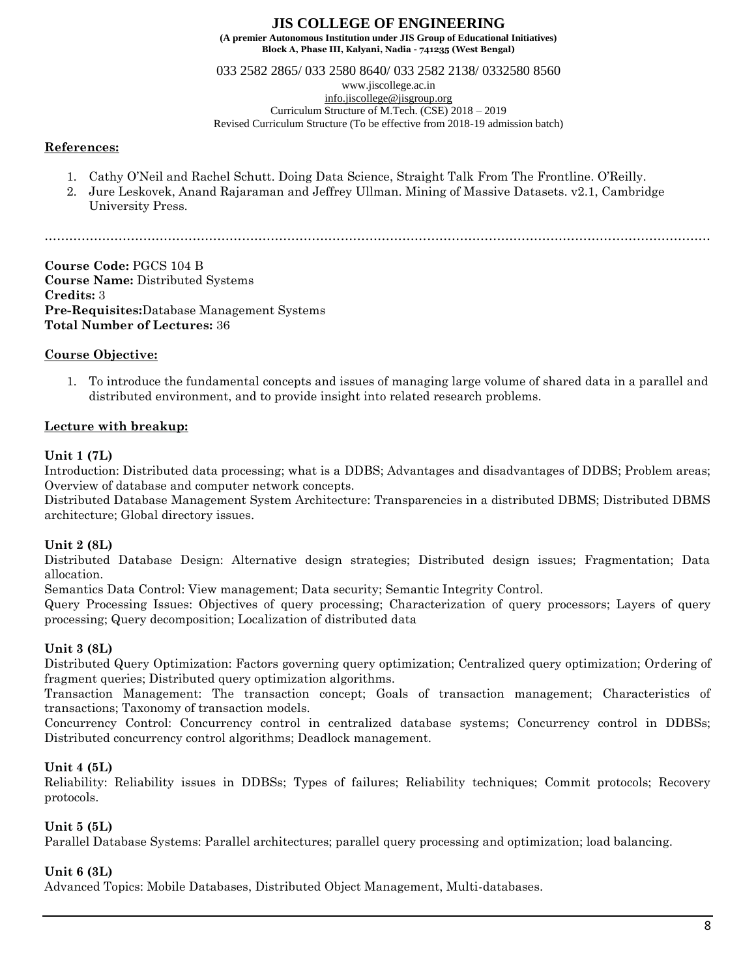033 2582 2865/ 033 2580 8640/ 033 2582 2138/ 0332580 8560

www.jiscollege.ac.in

[info.jiscollege@jisgroup.org](mailto:info.jiscollege@jisgroup.org) Curriculum Structure of M.Tech. (CSE) 2018 – 2019

Revised Curriculum Structure (To be effective from 2018-19 admission batch)

### **References:**

- 1. Cathy O'Neil and Rachel Schutt. Doing Data Science, Straight Talk From The Frontline. O'Reilly.
- 2. Jure Leskovek, Anand Rajaraman and Jeffrey Ullman. Mining of Massive Datasets. v2.1, Cambridge University Press.

………………………………………………………………………………………………………………………………………………

**Course Code:** PGCS 104 B **Course Name:** Distributed Systems **Credits:** 3 **Pre-Requisites:**Database Management Systems **Total Number of Lectures:** 36

# **Course Objective:**

1. To introduce the fundamental concepts and issues of managing large volume of shared data in a parallel and distributed environment, and to provide insight into related research problems.

# **Lecture with breakup:**

### **Unit 1 (7L)**

Introduction: Distributed data processing; what is a DDBS; Advantages and disadvantages of DDBS; Problem areas; Overview of database and computer network concepts.

Distributed Database Management System Architecture: Transparencies in a distributed DBMS; Distributed DBMS architecture; Global directory issues.

### **Unit 2 (8L)**

Distributed Database Design: Alternative design strategies; Distributed design issues; Fragmentation; Data allocation.

Semantics Data Control: View management; Data security; Semantic Integrity Control.

Query Processing Issues: Objectives of query processing; Characterization of query processors; Layers of query processing; Query decomposition; Localization of distributed data

# **Unit 3 (8L)**

Distributed Query Optimization: Factors governing query optimization; Centralized query optimization; Ordering of fragment queries; Distributed query optimization algorithms.

Transaction Management: The transaction concept; Goals of transaction management; Characteristics of transactions; Taxonomy of transaction models.

Concurrency Control: Concurrency control in centralized database systems; Concurrency control in DDBSs; Distributed concurrency control algorithms; Deadlock management.

# **Unit 4 (5L)**

Reliability: Reliability issues in DDBSs; Types of failures; Reliability techniques; Commit protocols; Recovery protocols.

### **Unit 5 (5L)**

Parallel Database Systems: Parallel architectures; parallel query processing and optimization; load balancing.

### **Unit 6 (3L)**

Advanced Topics: Mobile Databases, Distributed Object Management, Multi-databases.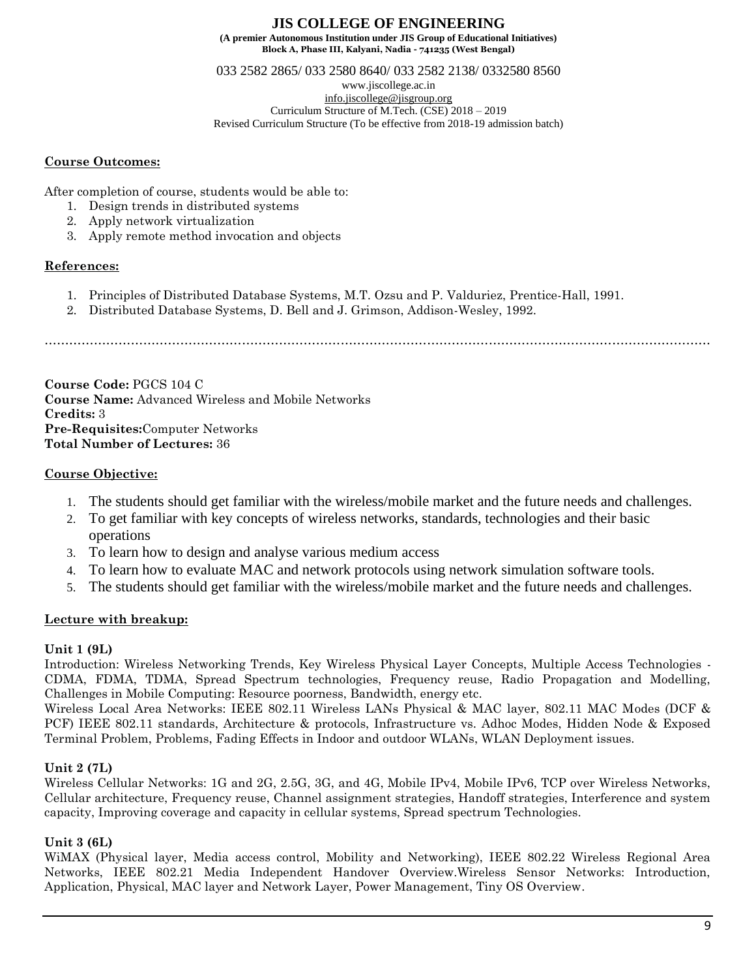033 2582 2865/ 033 2580 8640/ 033 2582 2138/ 0332580 8560

www.jiscollege.ac.in [info.jiscollege@jisgroup.org](mailto:info.jiscollege@jisgroup.org) Curriculum Structure of M.Tech. (CSE) 2018 – 2019 Revised Curriculum Structure (To be effective from 2018-19 admission batch)

### **Course Outcomes:**

After completion of course, students would be able to:

- 1. Design trends in distributed systems
- 2. Apply network virtualization
- 3. Apply remote method invocation and objects

## **References:**

- 1. Principles of Distributed Database Systems, M.T. Ozsu and P. Valduriez, Prentice-Hall, 1991.
- 2. Distributed Database Systems, D. Bell and J. Grimson, Addison-Wesley, 1992.

………………………………………………………………………………………………………………………………………………

**Course Code:** PGCS 104 C **Course Name:** Advanced Wireless and Mobile Networks **Credits:** 3 **Pre-Requisites:**Computer Networks **Total Number of Lectures:** 36

# **Course Objective:**

- 1. The students should get familiar with the wireless/mobile market and the future needs and challenges.
- 2. To get familiar with key concepts of wireless networks, standards, technologies and their basic operations
- 3. To learn how to design and analyse various medium access
- 4. To learn how to evaluate MAC and network protocols using network simulation software tools.
- 5. The students should get familiar with the wireless/mobile market and the future needs and challenges.

# **Lecture with breakup:**

# **Unit 1 (9L)**

Introduction: Wireless Networking Trends, Key Wireless Physical Layer Concepts, Multiple Access Technologies - CDMA, FDMA, TDMA, Spread Spectrum technologies, Frequency reuse, Radio Propagation and Modelling, Challenges in Mobile Computing: Resource poorness, Bandwidth, energy etc.

Wireless Local Area Networks: IEEE 802.11 Wireless LANs Physical & MAC layer, 802.11 MAC Modes (DCF & PCF) IEEE 802.11 standards, Architecture & protocols, Infrastructure vs. Adhoc Modes, Hidden Node & Exposed Terminal Problem, Problems, Fading Effects in Indoor and outdoor WLANs, WLAN Deployment issues.

# **Unit 2 (7L)**

Wireless Cellular Networks: 1G and 2G, 2.5G, 3G, and 4G, Mobile IPv4, Mobile IPv6, TCP over Wireless Networks, Cellular architecture, Frequency reuse, Channel assignment strategies, Handoff strategies, Interference and system capacity, Improving coverage and capacity in cellular systems, Spread spectrum Technologies.

# **Unit 3 (6L)**

WiMAX (Physical layer, Media access control, Mobility and Networking), IEEE 802.22 Wireless Regional Area Networks, IEEE 802.21 Media Independent Handover Overview.Wireless Sensor Networks: Introduction, Application, Physical, MAC layer and Network Layer, Power Management, Tiny OS Overview.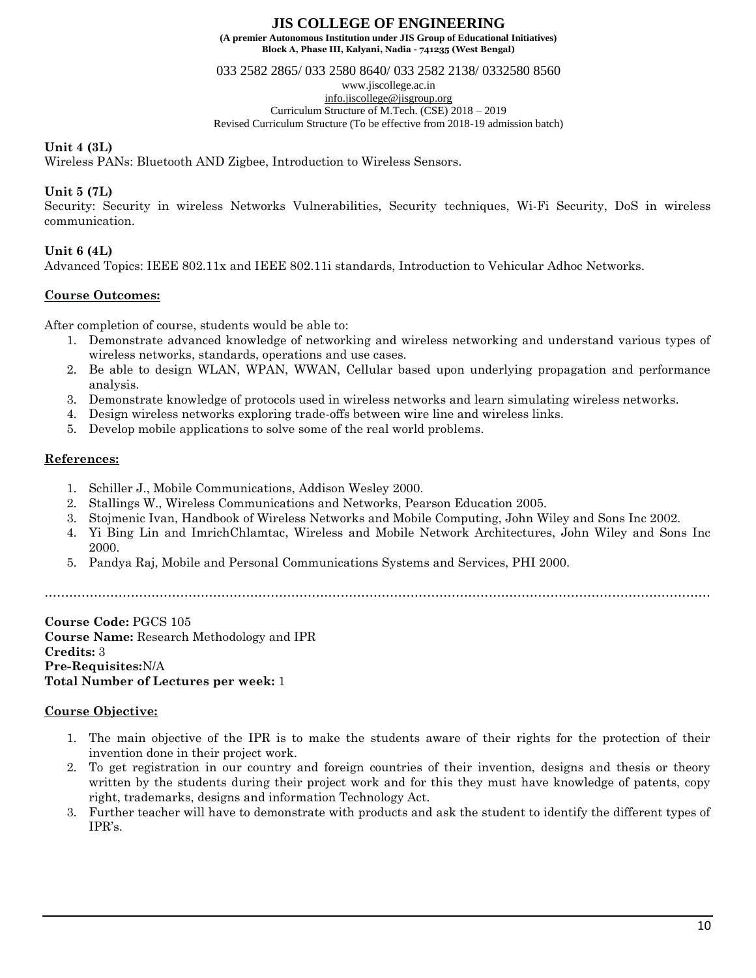**Block A, Phase III, Kalyani, Nadia - 741235 (West Bengal)**

033 2582 2865/ 033 2580 8640/ 033 2582 2138/ 0332580 8560

www.jiscollege.ac.in

[info.jiscollege@jisgroup.org](mailto:info.jiscollege@jisgroup.org) Curriculum Structure of M.Tech. (CSE) 2018 – 2019

Revised Curriculum Structure (To be effective from 2018-19 admission batch)

### **Unit 4 (3L)**

Wireless PANs: Bluetooth AND Zigbee, Introduction to Wireless Sensors.

## **Unit 5 (7L)**

Security: Security in wireless Networks Vulnerabilities, Security techniques, Wi-Fi Security, DoS in wireless communication.

## **Unit 6 (4L)**

Advanced Topics: IEEE 802.11x and IEEE 802.11i standards, Introduction to Vehicular Adhoc Networks.

## **Course Outcomes:**

After completion of course, students would be able to:

- 1. Demonstrate advanced knowledge of networking and wireless networking and understand various types of wireless networks, standards, operations and use cases.
- 2. Be able to design WLAN, WPAN, WWAN, Cellular based upon underlying propagation and performance analysis.
- 3. Demonstrate knowledge of protocols used in wireless networks and learn simulating wireless networks.
- 4. Design wireless networks exploring trade-offs between wire line and wireless links.
- 5. Develop mobile applications to solve some of the real world problems.

### **References:**

- 1. Schiller J., Mobile Communications, Addison Wesley 2000.
- 2. Stallings W., Wireless Communications and Networks, Pearson Education 2005.
- 3. Stojmenic Ivan, Handbook of Wireless Networks and Mobile Computing, John Wiley and Sons Inc 2002.
- 4. Yi Bing Lin and ImrichChlamtac, Wireless and Mobile Network Architectures, John Wiley and Sons Inc 2000.
- 5. Pandya Raj, Mobile and Personal Communications Systems and Services, PHI 2000.

………………………………………………………………………………………………………………………………………………

**Course Code:** PGCS 105 **Course Name:** Research Methodology and IPR **Credits:** 3 **Pre-Requisites:**N/A **Total Number of Lectures per week:** 1

### **Course Objective:**

- 1. The main objective of the IPR is to make the students aware of their rights for the protection of their invention done in their project work.
- 2. To get registration in our country and foreign countries of their invention, designs and thesis or theory written by the students during their project work and for this they must have knowledge of patents, copy right, trademarks, designs and information Technology Act.
- 3. Further teacher will have to demonstrate with products and ask the student to identify the different types of IPR's.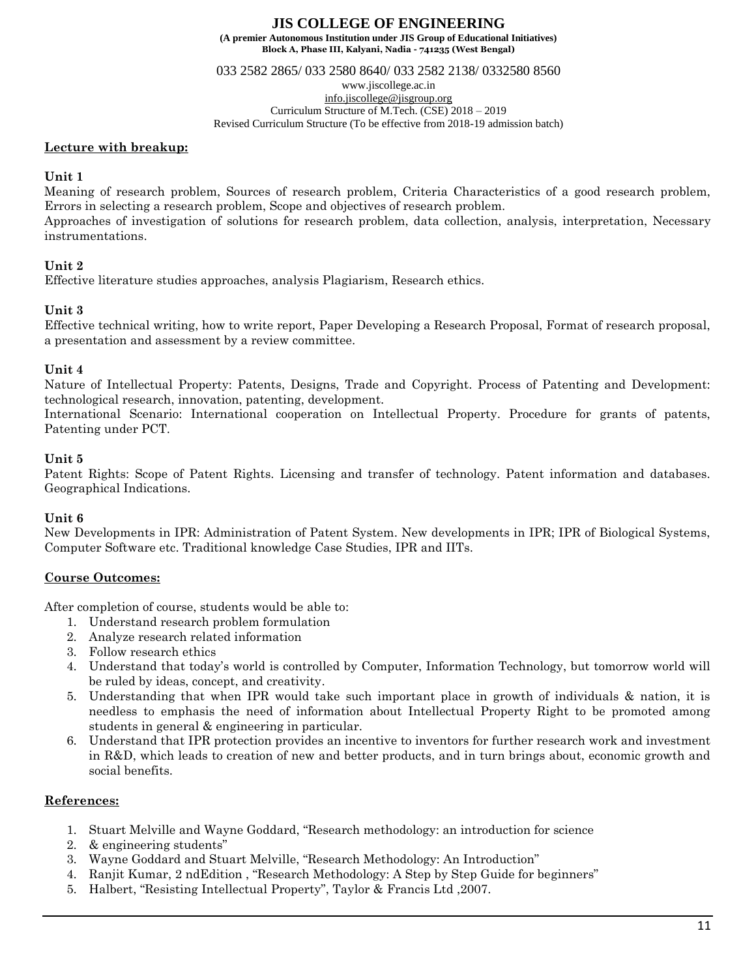**Block A, Phase III, Kalyani, Nadia - 741235 (West Bengal)**

033 2582 2865/ 033 2580 8640/ 033 2582 2138/ 0332580 8560

www.jiscollege.ac.in

[info.jiscollege@jisgroup.org](mailto:info.jiscollege@jisgroup.org) Curriculum Structure of M.Tech. (CSE) 2018 – 2019

Revised Curriculum Structure (To be effective from 2018-19 admission batch)

### **Lecture with breakup:**

### **Unit 1**

Meaning of research problem, Sources of research problem, Criteria Characteristics of a good research problem, Errors in selecting a research problem, Scope and objectives of research problem. Approaches of investigation of solutions for research problem, data collection, analysis, interpretation, Necessary instrumentations.

# **Unit 2**

Effective literature studies approaches, analysis Plagiarism, Research ethics.

## **Unit 3**

Effective technical writing, how to write report, Paper Developing a Research Proposal, Format of research proposal, a presentation and assessment by a review committee.

### **Unit 4**

Nature of Intellectual Property: Patents, Designs, Trade and Copyright. Process of Patenting and Development: technological research, innovation, patenting, development.

International Scenario: International cooperation on Intellectual Property. Procedure for grants of patents, Patenting under PCT.

### **Unit 5**

Patent Rights: Scope of Patent Rights. Licensing and transfer of technology. Patent information and databases. Geographical Indications.

### **Unit 6**

New Developments in IPR: Administration of Patent System. New developments in IPR; IPR of Biological Systems, Computer Software etc. Traditional knowledge Case Studies, IPR and IITs.

# **Course Outcomes:**

After completion of course, students would be able to:

- 1. Understand research problem formulation
- 2. Analyze research related information
- 3. Follow research ethics
- 4. Understand that today's world is controlled by Computer, Information Technology, but tomorrow world will be ruled by ideas, concept, and creativity.
- 5. Understanding that when IPR would take such important place in growth of individuals & nation, it is needless to emphasis the need of information about Intellectual Property Right to be promoted among students in general & engineering in particular.
- 6. Understand that IPR protection provides an incentive to inventors for further research work and investment in R&D, which leads to creation of new and better products, and in turn brings about, economic growth and social benefits.

### **References:**

- 1. Stuart Melville and Wayne Goddard, "Research methodology: an introduction for science
- 2. & engineering students"
- 3. Wayne Goddard and Stuart Melville, "Research Methodology: An Introduction"
- 4. Ranjit Kumar, 2 ndEdition , "Research Methodology: A Step by Step Guide for beginners"
- 5. Halbert, "Resisting Intellectual Property", Taylor & Francis Ltd ,2007.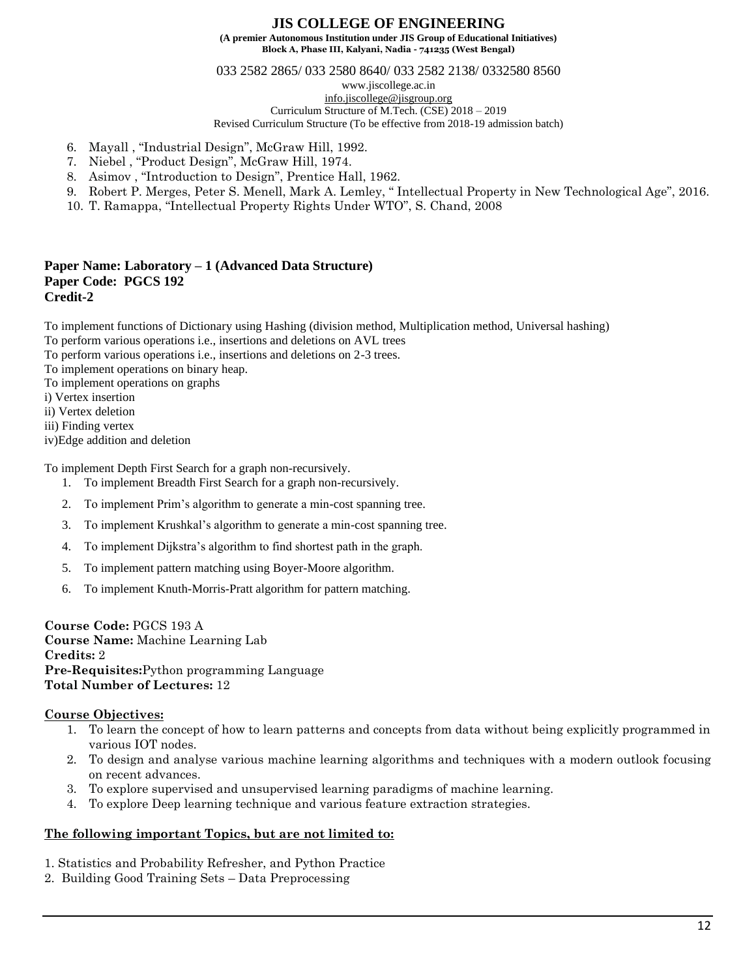## **JIS COLLEGE OF ENGINEERING**

**(A premier Autonomous Institution under JIS Group of Educational Initiatives) Block A, Phase III, Kalyani, Nadia - 741235 (West Bengal)**

033 2582 2865/ 033 2580 8640/ 033 2582 2138/ 0332580 8560

www.jiscollege.ac.in

[info.jiscollege@jisgroup.org](mailto:info.jiscollege@jisgroup.org)

Curriculum Structure of M.Tech. (CSE) 2018 – 2019

Revised Curriculum Structure (To be effective from 2018-19 admission batch)

- 6. Mayall , "Industrial Design", McGraw Hill, 1992.
- 7. Niebel , "Product Design", McGraw Hill, 1974.
- 8. Asimov , "Introduction to Design", Prentice Hall, 1962.
- 9. Robert P. Merges, Peter S. Menell, Mark A. Lemley, " Intellectual Property in New Technological Age", 2016.
- 10. T. Ramappa, "Intellectual Property Rights Under WTO", S. Chand, 2008

#### **Paper Name: Laboratory – 1 (Advanced Data Structure) Paper Code: PGCS 192 Credit-2**

To implement functions of Dictionary using Hashing (division method, Multiplication method, Universal hashing)

To perform various operations i.e., insertions and deletions on AVL trees

To perform various operations i.e., insertions and deletions on 2-3 trees.

To implement operations on binary heap.

To implement operations on graphs

i) Vertex insertion

ii) Vertex deletion

iii) Finding vertex

iv)Edge addition and deletion

To implement Depth First Search for a graph non-recursively.

- 1. To implement Breadth First Search for a graph non-recursively.
- 2. To implement Prim's algorithm to generate a min-cost spanning tree.
- 3. To implement Krushkal's algorithm to generate a min-cost spanning tree.
- 4. To implement Dijkstra's algorithm to find shortest path in the graph.
- 5. To implement pattern matching using Boyer-Moore algorithm.
- 6. To implement Knuth-Morris-Pratt algorithm for pattern matching.

**Course Code:** PGCS 193 A **Course Name:** Machine Learning Lab **Credits:** 2 **Pre-Requisites:**Python programming Language **Total Number of Lectures:** 12

### **Course Objectives:**

- 1. To learn the concept of how to learn patterns and concepts from data without being explicitly programmed in various IOT nodes.
- 2. To design and analyse various machine learning algorithms and techniques with a modern outlook focusing on recent advances.
- 3. To explore supervised and unsupervised learning paradigms of machine learning.
- 4. To explore Deep learning technique and various feature extraction strategies.

### **The following important Topics, but are not limited to:**

- 1. Statistics and Probability Refresher, and Python Practice
- 2. Building Good Training Sets Data Preprocessing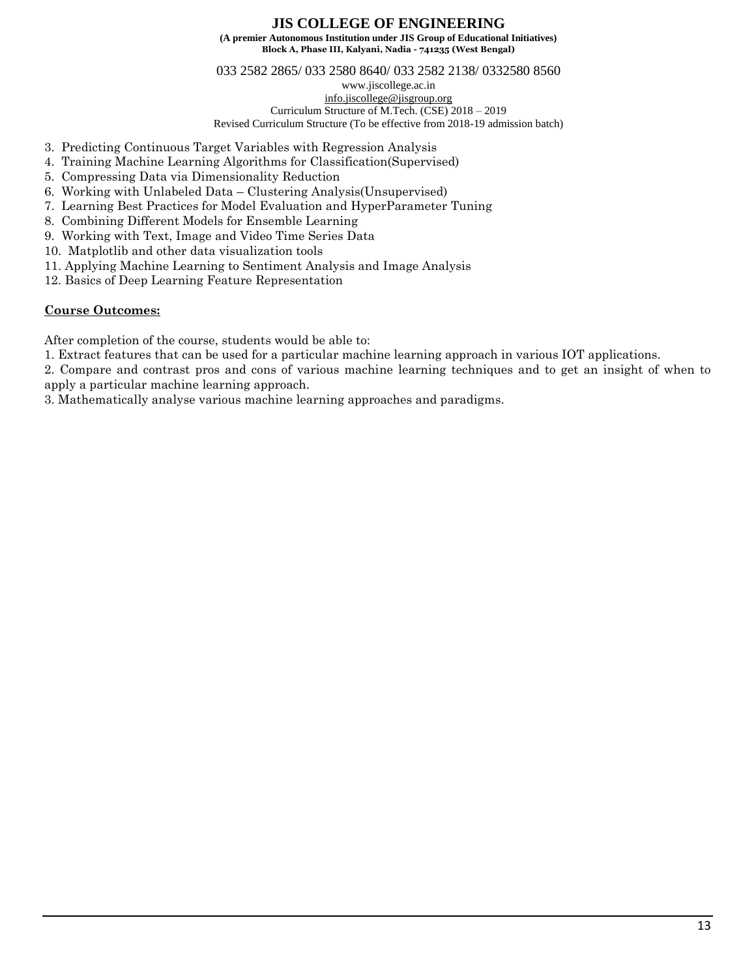# **JIS COLLEGE OF ENGINEERING**

**(A premier Autonomous Institution under JIS Group of Educational Initiatives) Block A, Phase III, Kalyani, Nadia - 741235 (West Bengal)**

033 2582 2865/ 033 2580 8640/ 033 2582 2138/ 0332580 8560

www.jiscollege.ac.in

[info.jiscollege@jisgroup.org](mailto:info.jiscollege@jisgroup.org) Curriculum Structure of M.Tech. (CSE) 2018 – 2019

Revised Curriculum Structure (To be effective from 2018-19 admission batch)

- 3. Predicting Continuous Target Variables with Regression Analysis
- 4. Training Machine Learning Algorithms for Classification(Supervised)
- 5. Compressing Data via Dimensionality Reduction
- 6. Working with Unlabeled Data Clustering Analysis(Unsupervised)
- 7. Learning Best Practices for Model Evaluation and HyperParameter Tuning
- 8. Combining Different Models for Ensemble Learning
- 9. Working with Text, Image and Video Time Series Data
- 10. Matplotlib and other data visualization tools
- 11. Applying Machine Learning to Sentiment Analysis and Image Analysis
- 12. Basics of Deep Learning Feature Representation

# **Course Outcomes:**

After completion of the course, students would be able to:

1. Extract features that can be used for a particular machine learning approach in various IOT applications.

2. Compare and contrast pros and cons of various machine learning techniques and to get an insight of when to apply a particular machine learning approach.

3. Mathematically analyse various machine learning approaches and paradigms.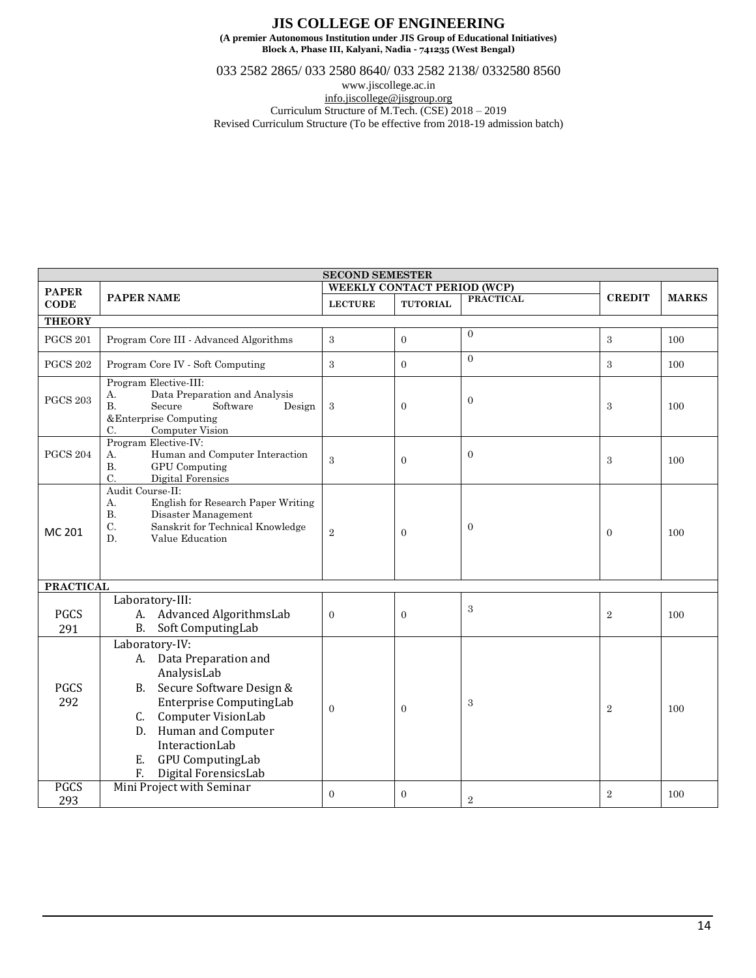033 2582 2865/ 033 2580 8640/ 033 2582 2138/ 0332580 8560

www.jiscollege.ac.in

[info.jiscollege@jisgroup.org](mailto:info.jiscollege@jisgroup.org) Curriculum Structure of M.Tech. (CSE) 2018 – 2019

Revised Curriculum Structure (To be effective from 2018-19 admission batch)

| <b>SECOND SEMESTER</b> |                                                                                                                                                                                                                                                                |                             |                 |                  |                |              |  |
|------------------------|----------------------------------------------------------------------------------------------------------------------------------------------------------------------------------------------------------------------------------------------------------------|-----------------------------|-----------------|------------------|----------------|--------------|--|
| <b>PAPER</b>           |                                                                                                                                                                                                                                                                | WEEKLY CONTACT PERIOD (WCP) |                 |                  |                |              |  |
| <b>CODE</b>            | <b>PAPER NAME</b>                                                                                                                                                                                                                                              | <b>LECTURE</b>              | <b>TUTORIAL</b> | <b>PRACTICAL</b> | <b>CREDIT</b>  | <b>MARKS</b> |  |
| <b>THEORY</b>          |                                                                                                                                                                                                                                                                |                             |                 |                  |                |              |  |
| <b>PGCS 201</b>        | Program Core III - Advanced Algorithms                                                                                                                                                                                                                         | 3                           | $\overline{0}$  | $\overline{0}$   | 3              | 100          |  |
| <b>PGCS 202</b>        | Program Core IV - Soft Computing                                                                                                                                                                                                                               | 3                           | $\theta$        | $\overline{0}$   | 3              | 100          |  |
| <b>PGCS 203</b>        | Program Elective-III:<br>Data Preparation and Analysis<br>А.<br>Secure<br>Software<br>B.<br>Design<br>&Enterprise Computing<br>C.<br>Computer Vision                                                                                                           | 3                           | $\mathbf{0}$    | $\boldsymbol{0}$ | 3              | 100          |  |
| <b>PGCS 204</b>        | Program Elective-IV:<br>Human and Computer Interaction<br>А.<br><b>B.</b><br><b>GPU</b> Computing<br>C.<br>Digital Forensics                                                                                                                                   | 3                           | $\mathbf{0}$    | $\theta$         | 3              | 100          |  |
| MC 201                 | Audit Course-II:<br>English for Research Paper Writing<br>А.<br>Disaster Management<br><b>B.</b><br>$\mathrm{C}.$<br>Sanskrit for Technical Knowledge<br>D.<br>Value Education                                                                                 | $\overline{2}$              | $\mathbf{0}$    | $\mathbf{0}$     | $\Omega$       | 100          |  |
| <b>PRACTICAL</b>       |                                                                                                                                                                                                                                                                |                             |                 |                  |                |              |  |
| <b>PGCS</b><br>291     | Laboratory-III:<br>A. Advanced AlgorithmsLab<br><b>B.</b><br>Soft ComputingLab                                                                                                                                                                                 | $\mathbf{0}$                | $\mathbf{0}$    | 3                | $\overline{2}$ | 100          |  |
| <b>PGCS</b><br>292     | Laboratory-IV:<br>Data Preparation and<br>A.<br>AnalysisLab<br>Secure Software Design &<br><b>B.</b><br>Enterprise ComputingLab<br>Computer VisionLab<br>C.<br>D. Human and Computer<br>InteractionLab<br>GPU ComputingLab<br>Ε.<br>Digital ForensicsLab<br>F. | $\Omega$                    | $\mathbf{0}$    | 3                | $\overline{2}$ | 100          |  |
| <b>PGCS</b><br>293     | Mini Project with Seminar                                                                                                                                                                                                                                      | $\Omega$                    | $\theta$        | $\overline{2}$   | $\overline{2}$ | 100          |  |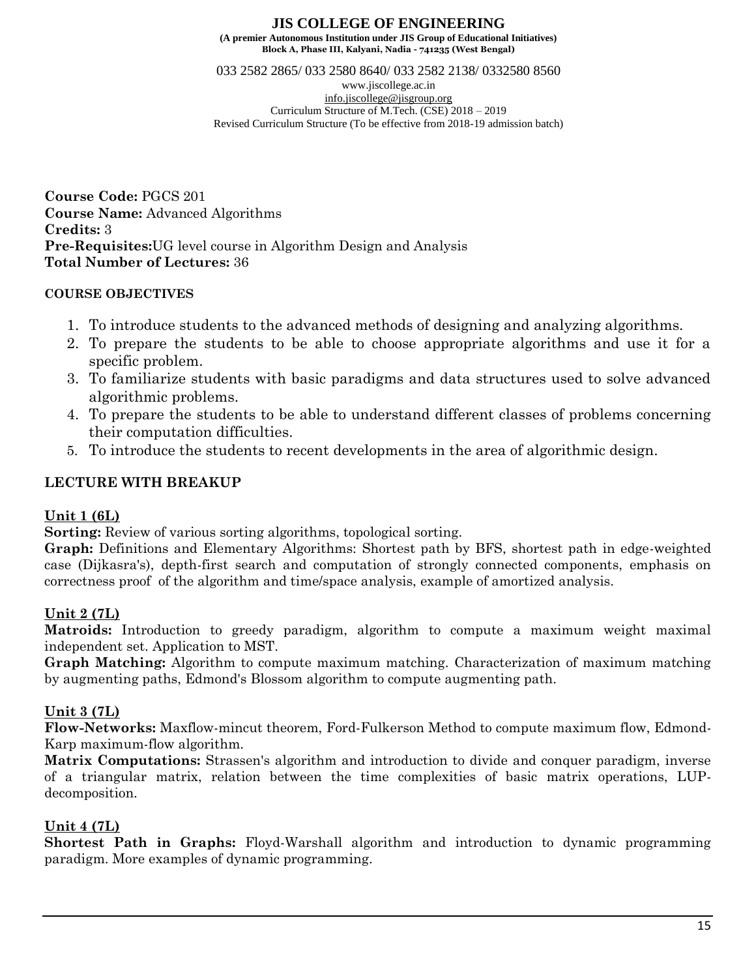033 2582 2865/ 033 2580 8640/ 033 2582 2138/ 0332580 8560 www.jiscollege.ac.in [info.jiscollege@jisgroup.org](mailto:info.jiscollege@jisgroup.org) Curriculum Structure of M.Tech. (CSE) 2018 – 2019 Revised Curriculum Structure (To be effective from 2018-19 admission batch)

**Course Code:** PGCS 201 **Course Name:** Advanced Algorithms **Credits:** 3 **Pre-Requisites:**UG level course in Algorithm Design and Analysis **Total Number of Lectures:** 36

# **COURSE OBJECTIVES**

- 1. To introduce students to the advanced methods of designing and analyzing algorithms.
- 2. To prepare the students to be able to choose appropriate algorithms and use it for a specific problem.
- 3. To familiarize students with basic paradigms and data structures used to solve advanced algorithmic problems.
- 4. To prepare the students to be able to understand different classes of problems concerning their computation difficulties.
- 5. To introduce the students to recent developments in the area of algorithmic design.

# **LECTURE WITH BREAKUP**

# **Unit 1 (6L)**

**Sorting:** Review of various sorting algorithms, topological sorting.

**Graph:** Definitions and Elementary Algorithms: Shortest path by BFS, shortest path in edge-weighted case (Dijkasra's), depth-first search and computation of strongly connected components, emphasis on correctness proof of the algorithm and time/space analysis, example of amortized analysis.

# **Unit 2 (7L)**

**Matroids:** Introduction to greedy paradigm, algorithm to compute a maximum weight maximal independent set. Application to MST.

**Graph Matching:** Algorithm to compute maximum matching. Characterization of maximum matching by augmenting paths, Edmond's Blossom algorithm to compute augmenting path.

# **Unit 3 (7L)**

**Flow-Networks:** Maxflow-mincut theorem, Ford-Fulkerson Method to compute maximum flow, Edmond-Karp maximum-flow algorithm.

**Matrix Computations:** Strassen's algorithm and introduction to divide and conquer paradigm, inverse of a triangular matrix, relation between the time complexities of basic matrix operations, LUPdecomposition.

# **Unit 4 (7L)**

**Shortest Path in Graphs:** Floyd-Warshall algorithm and introduction to dynamic programming paradigm. More examples of dynamic programming.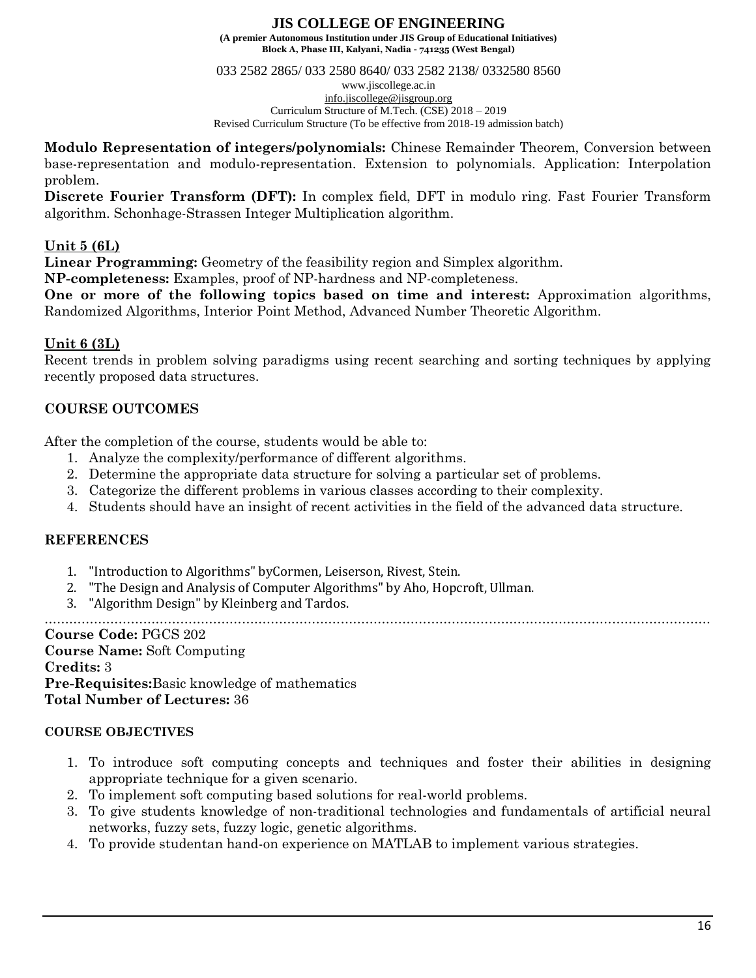033 2582 2865/ 033 2580 8640/ 033 2582 2138/ 0332580 8560

www.jiscollege.ac.in [info.jiscollege@jisgroup.org](mailto:info.jiscollege@jisgroup.org) Curriculum Structure of M.Tech. (CSE) 2018 – 2019 Revised Curriculum Structure (To be effective from 2018-19 admission batch)

**Modulo Representation of integers/polynomials:** Chinese Remainder Theorem, Conversion between base-representation and modulo-representation. Extension to polynomials. Application: Interpolation problem.

**Discrete Fourier Transform (DFT):** In complex field, DFT in modulo ring. Fast Fourier Transform algorithm. Schonhage-Strassen Integer Multiplication algorithm.

# **Unit 5 (6L)**

**Linear Programming:** Geometry of the feasibility region and Simplex algorithm.

**NP-completeness:** Examples, proof of NP-hardness and NP-completeness.

**One or more of the following topics based on time and interest:** Approximation algorithms, Randomized Algorithms, Interior Point Method, Advanced Number Theoretic Algorithm.

# **Unit 6 (3L)**

Recent trends in problem solving paradigms using recent searching and sorting techniques by applying recently proposed data structures.

# **COURSE OUTCOMES**

After the completion of the course, students would be able to:

- 1. Analyze the complexity/performance of different algorithms.
- 2. Determine the appropriate data structure for solving a particular set of problems.
- 3. Categorize the different problems in various classes according to their complexity.
- 4. Students should have an insight of recent activities in the field of the advanced data structure.

# **REFERENCES**

- 1. "Introduction to Algorithms" byCormen, Leiserson, Rivest, Stein.
- 2. "The Design and Analysis of Computer Algorithms" by Aho, Hopcroft, Ullman.
- 3. "Algorithm Design" by Kleinberg and Tardos.

………………………………………………………………………………………………………………………………………………

**Course Code:** PGCS 202 **Course Name:** Soft Computing **Credits:** 3 **Pre-Requisites:**Basic knowledge of mathematics **Total Number of Lectures:** 36

# **COURSE OBJECTIVES**

- 1. To introduce soft computing concepts and techniques and foster their abilities in designing appropriate technique for a given scenario.
- 2. To implement soft computing based solutions for real-world problems.
- 3. To give students knowledge of non-traditional technologies and fundamentals of artificial neural networks, fuzzy sets, fuzzy logic, genetic algorithms.
- 4. To provide studentan hand-on experience on MATLAB to implement various strategies.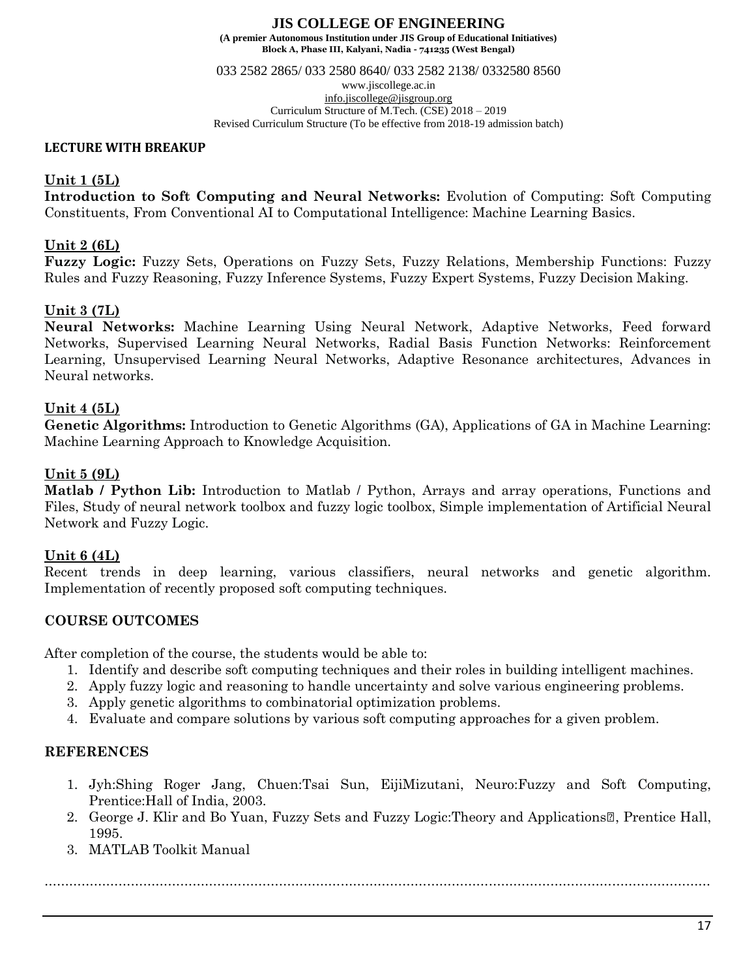033 2582 2865/ 033 2580 8640/ 033 2582 2138/ 0332580 8560

www.jiscollege.ac.in [info.jiscollege@jisgroup.org](mailto:info.jiscollege@jisgroup.org) Curriculum Structure of M.Tech. (CSE) 2018 – 2019 Revised Curriculum Structure (To be effective from 2018-19 admission batch)

## **LECTURE WITH BREAKUP**

# **Unit 1 (5L)**

**Introduction to Soft Computing and Neural Networks:** Evolution of Computing: Soft Computing Constituents, From Conventional AI to Computational Intelligence: Machine Learning Basics.

# **Unit 2 (6L)**

**Fuzzy Logic:** Fuzzy Sets, Operations on Fuzzy Sets, Fuzzy Relations, Membership Functions: Fuzzy Rules and Fuzzy Reasoning, Fuzzy Inference Systems, Fuzzy Expert Systems, Fuzzy Decision Making.

# **Unit 3 (7L)**

**Neural Networks:** Machine Learning Using Neural Network, Adaptive Networks, Feed forward Networks, Supervised Learning Neural Networks, Radial Basis Function Networks: Reinforcement Learning, Unsupervised Learning Neural Networks, Adaptive Resonance architectures, Advances in Neural networks.

# **Unit 4 (5L)**

**Genetic Algorithms:** Introduction to Genetic Algorithms (GA), Applications of GA in Machine Learning: Machine Learning Approach to Knowledge Acquisition.

# **Unit 5 (9L)**

**Matlab / Python Lib:** Introduction to Matlab / Python, Arrays and array operations, Functions and Files, Study of neural network toolbox and fuzzy logic toolbox, Simple implementation of Artificial Neural Network and Fuzzy Logic.

# **Unit 6 (4L)**

Recent trends in deep learning, various classifiers, neural networks and genetic algorithm. Implementation of recently proposed soft computing techniques.

# **COURSE OUTCOMES**

After completion of the course, the students would be able to:

- 1. Identify and describe soft computing techniques and their roles in building intelligent machines.
- 2. Apply fuzzy logic and reasoning to handle uncertainty and solve various engineering problems.
- 3. Apply genetic algorithms to combinatorial optimization problems.
- 4. Evaluate and compare solutions by various soft computing approaches for a given problem.

# **REFERENCES**

- 1. Jyh:Shing Roger Jang, Chuen:Tsai Sun, EijiMizutani, Neuro:Fuzzy and Soft Computing, Prentice:Hall of India, 2003.
- 2. George J. Klir and Bo Yuan, Fuzzy Sets and Fuzzy Logic: Theory and Applications <sup>n</sup>, Prentice Hall, 1995.

………………………………………………………………………………………………………………………………………………

3. MATLAB Toolkit Manual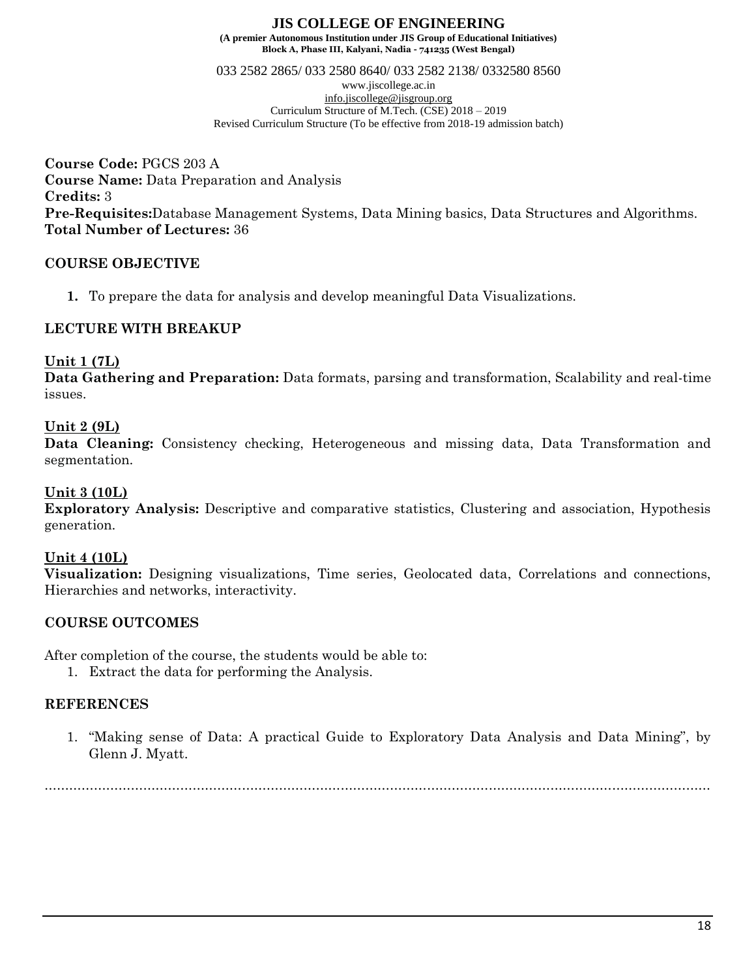033 2582 2865/ 033 2580 8640/ 033 2582 2138/ 0332580 8560 www.jiscollege.ac.in [info.jiscollege@jisgroup.org](mailto:info.jiscollege@jisgroup.org) Curriculum Structure of M.Tech. (CSE) 2018 – 2019 Revised Curriculum Structure (To be effective from 2018-19 admission batch)

**Course Code:** PGCS 203 A **Course Name:** Data Preparation and Analysis **Credits:** 3 **Pre-Requisites:**Database Management Systems, Data Mining basics, Data Structures and Algorithms. **Total Number of Lectures:** 36

# **COURSE OBJECTIVE**

**1.** To prepare the data for analysis and develop meaningful Data Visualizations.

# **LECTURE WITH BREAKUP**

# **Unit 1 (7L)**

**Data Gathering and Preparation:** Data formats, parsing and transformation, Scalability and real-time issues.

# **Unit 2 (9L)**

**Data Cleaning:** Consistency checking, Heterogeneous and missing data, Data Transformation and segmentation.

# **Unit 3 (10L)**

**Exploratory Analysis:** Descriptive and comparative statistics, Clustering and association, Hypothesis generation.

# **Unit 4 (10L)**

**Visualization:** Designing visualizations, Time series, Geolocated data, Correlations and connections, Hierarchies and networks, interactivity.

# **COURSE OUTCOMES**

After completion of the course, the students would be able to:

1. Extract the data for performing the Analysis.

# **REFERENCES**

1. "Making sense of Data: A practical Guide to Exploratory Data Analysis and Data Mining", by Glenn J. Myatt.

………………………………………………………………………………………………………………………………………………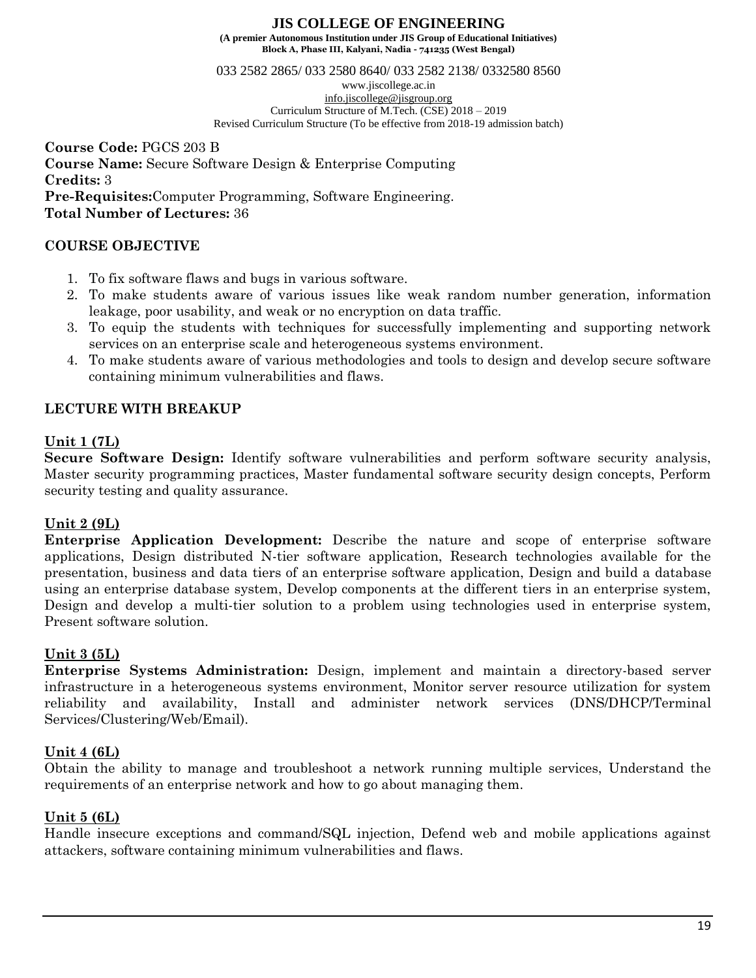**Block A, Phase III, Kalyani, Nadia - 741235 (West Bengal)**

033 2582 2865/ 033 2580 8640/ 033 2582 2138/ 0332580 8560

www.jiscollege.ac.in [info.jiscollege@jisgroup.org](mailto:info.jiscollege@jisgroup.org) Curriculum Structure of M.Tech. (CSE) 2018 – 2019 Revised Curriculum Structure (To be effective from 2018-19 admission batch)

**Course Code:** PGCS 203 B **Course Name:** Secure Software Design & Enterprise Computing **Credits:** 3 **Pre-Requisites:**Computer Programming, Software Engineering. **Total Number of Lectures:** 36

# **COURSE OBJECTIVE**

- 1. To fix software flaws and bugs in various software.
- 2. To make students aware of various issues like weak random number generation, information leakage, poor usability, and weak or no encryption on data traffic.
- 3. To equip the students with techniques for successfully implementing and supporting network services on an enterprise scale and heterogeneous systems environment.
- 4. To make students aware of various methodologies and tools to design and develop secure software containing minimum vulnerabilities and flaws.

# **LECTURE WITH BREAKUP**

# **Unit 1 (7L)**

**Secure Software Design:** Identify software vulnerabilities and perform software security analysis, Master security programming practices, Master fundamental software security design concepts, Perform security testing and quality assurance.

# **Unit 2 (9L)**

**Enterprise Application Development:** Describe the nature and scope of enterprise software applications, Design distributed N-tier software application, Research technologies available for the presentation, business and data tiers of an enterprise software application, Design and build a database using an enterprise database system, Develop components at the different tiers in an enterprise system, Design and develop a multi-tier solution to a problem using technologies used in enterprise system, Present software solution.

# **Unit 3 (5L)**

**Enterprise Systems Administration:** Design, implement and maintain a directory-based server infrastructure in a heterogeneous systems environment, Monitor server resource utilization for system reliability and availability, Install and administer network services (DNS/DHCP/Terminal Services/Clustering/Web/Email).

# **Unit 4 (6L)**

Obtain the ability to manage and troubleshoot a network running multiple services, Understand the requirements of an enterprise network and how to go about managing them.

# **Unit 5 (6L)**

Handle insecure exceptions and command/SQL injection, Defend web and mobile applications against attackers, software containing minimum vulnerabilities and flaws.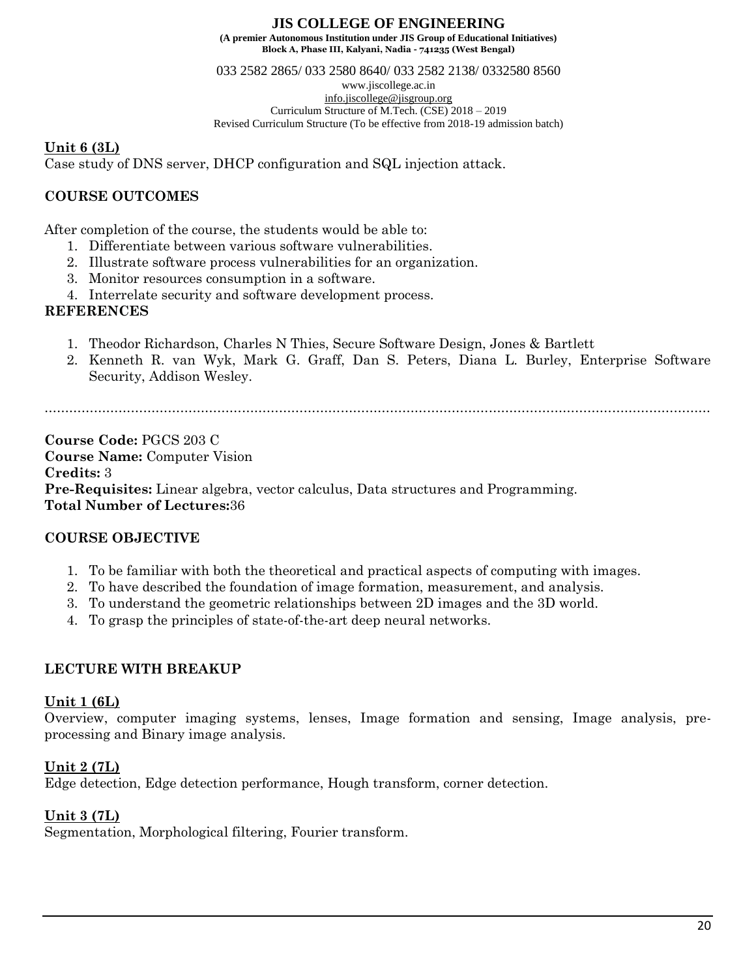033 2582 2865/ 033 2580 8640/ 033 2582 2138/ 0332580 8560 www.jiscollege.ac.in [info.jiscollege@jisgroup.org](mailto:info.jiscollege@jisgroup.org) Curriculum Structure of M.Tech. (CSE) 2018 – 2019 Revised Curriculum Structure (To be effective from 2018-19 admission batch)

# **Unit 6 (3L)**

Case study of DNS server, DHCP configuration and SQL injection attack.

# **COURSE OUTCOMES**

After completion of the course, the students would be able to:

- 1. Differentiate between various software vulnerabilities.
- 2. Illustrate software process vulnerabilities for an organization.
- 3. Monitor resources consumption in a software.
- 4. Interrelate security and software development process.

# **REFERENCES**

- 1. Theodor Richardson, Charles N Thies, Secure Software Design, Jones & Bartlett
- 2. Kenneth R. van Wyk, Mark G. Graff, Dan S. Peters, Diana L. Burley, Enterprise Software Security, Addison Wesley.

………………………………………………………………………………………………………………………………………………

**Course Code:** PGCS 203 C **Course Name:** Computer Vision **Credits:** 3 **Pre-Requisites:** Linear algebra, vector calculus, Data structures and Programming. **Total Number of Lectures:**36

# **COURSE OBJECTIVE**

- 1. To be familiar with both the theoretical and practical aspects of computing with images.
- 2. To have described the foundation of image formation, measurement, and analysis.
- 3. To understand the geometric relationships between 2D images and the 3D world.
- 4. To grasp the principles of state-of-the-art deep neural networks.

# **LECTURE WITH BREAKUP**

# **Unit 1 (6L)**

Overview, computer imaging systems, lenses, Image formation and sensing, Image analysis, preprocessing and Binary image analysis.

# **Unit 2 (7L)**

Edge detection, Edge detection performance, Hough transform, corner detection.

# **Unit 3 (7L)**

Segmentation, Morphological filtering, Fourier transform.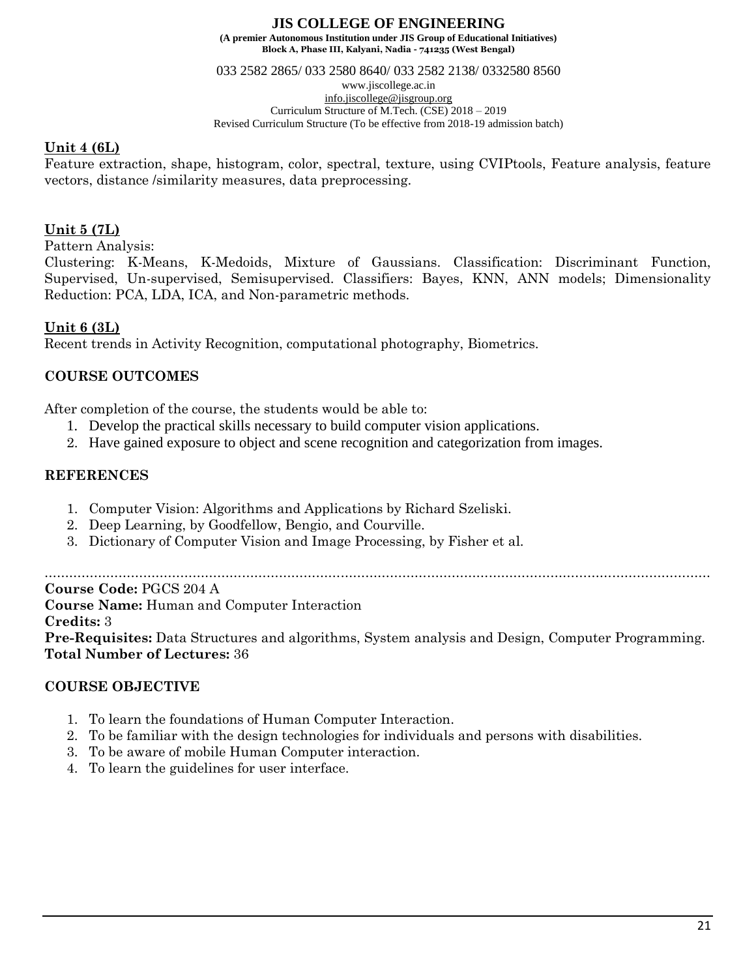033 2582 2865/ 033 2580 8640/ 033 2582 2138/ 0332580 8560 www.jiscollege.ac.in [info.jiscollege@jisgroup.org](mailto:info.jiscollege@jisgroup.org) Curriculum Structure of M.Tech. (CSE) 2018 – 2019

#### Revised Curriculum Structure (To be effective from 2018-19 admission batch)

# **Unit 4 (6L)**

Feature extraction, shape, histogram, color, spectral, texture, using CVIPtools, Feature analysis, feature vectors, distance /similarity measures, data preprocessing.

# **Unit 5 (7L)**

Pattern Analysis:

Clustering: K-Means, K-Medoids, Mixture of Gaussians. Classification: Discriminant Function, Supervised, Un-supervised, Semisupervised. Classifiers: Bayes, KNN, ANN models; Dimensionality Reduction: PCA, LDA, ICA, and Non-parametric methods.

# **Unit 6 (3L)**

Recent trends in Activity Recognition, computational photography, Biometrics.

# **COURSE OUTCOMES**

After completion of the course, the students would be able to:

- 1. Develop the practical skills necessary to build computer vision applications.
- 2. Have gained exposure to object and scene recognition and categorization from images.

# **REFERENCES**

- 1. Computer Vision: Algorithms and Applications by Richard Szeliski.
- 2. Deep Learning, by Goodfellow, Bengio, and Courville.
- 3. Dictionary of Computer Vision and Image Processing, by Fisher et al.

………………………………………………………………………………………………………………………………………………

**Course Code:** PGCS 204 A

**Course Name:** Human and Computer Interaction

# **Credits:** 3

**Pre-Requisites:** Data Structures and algorithms, System analysis and Design, Computer Programming. **Total Number of Lectures:** 36

# **COURSE OBJECTIVE**

- 1. To learn the foundations of Human Computer Interaction.
- 2. To be familiar with the design technologies for individuals and persons with disabilities.
- 3. To be aware of mobile Human Computer interaction.
- 4. To learn the guidelines for user interface.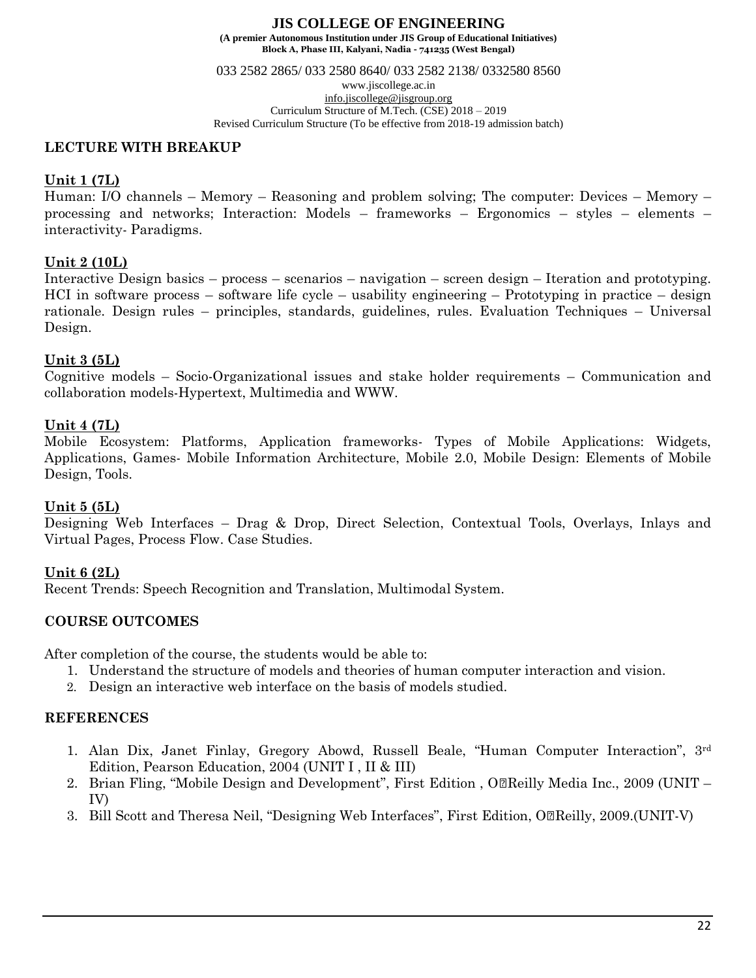033 2582 2865/ 033 2580 8640/ 033 2582 2138/ 0332580 8560

www.jiscollege.ac.in [info.jiscollege@jisgroup.org](mailto:info.jiscollege@jisgroup.org) Curriculum Structure of M.Tech. (CSE) 2018 – 2019 Revised Curriculum Structure (To be effective from 2018-19 admission batch)

### **LECTURE WITH BREAKUP**

# **Unit 1 (7L)**

Human: I/O channels – Memory – Reasoning and problem solving; The computer: Devices – Memory – processing and networks; Interaction: Models – frameworks – Ergonomics – styles – elements – interactivity- Paradigms.

# **Unit 2 (10L)**

Interactive Design basics – process – scenarios – navigation – screen design – Iteration and prototyping. HCI in software process – software life cycle – usability engineering – Prototyping in practice – design rationale. Design rules – principles, standards, guidelines, rules. Evaluation Techniques – Universal Design.

# **Unit 3 (5L)**

Cognitive models – Socio-Organizational issues and stake holder requirements – Communication and collaboration models-Hypertext, Multimedia and WWW.

# **Unit 4 (7L)**

Mobile Ecosystem: Platforms, Application frameworks- Types of Mobile Applications: Widgets, Applications, Games- Mobile Information Architecture, Mobile 2.0, Mobile Design: Elements of Mobile Design, Tools.

# **Unit 5 (5L)**

Designing Web Interfaces – Drag & Drop, Direct Selection, Contextual Tools, Overlays, Inlays and Virtual Pages, Process Flow. Case Studies.

# **Unit 6 (2L)**

Recent Trends: Speech Recognition and Translation, Multimodal System.

# **COURSE OUTCOMES**

After completion of the course, the students would be able to:

- 1. Understand the structure of models and theories of human computer interaction and vision.
- 2. Design an interactive web interface on the basis of models studied.

# **REFERENCES**

- 1. Alan Dix, Janet Finlay, Gregory Abowd, Russell Beale, "Human Computer Interaction", 3rd Edition, Pearson Education, 2004 (UNIT I , II & III)
- 2. Brian Fling, "Mobile Design and Development", First Edition, Oll Reilly Media Inc., 2009 (UNIT IV)
- 3. Bill Scott and Theresa Neil, "Designing Web Interfaces", First Edition, O<sup>n</sup>Reilly, 2009.(UNIT-V)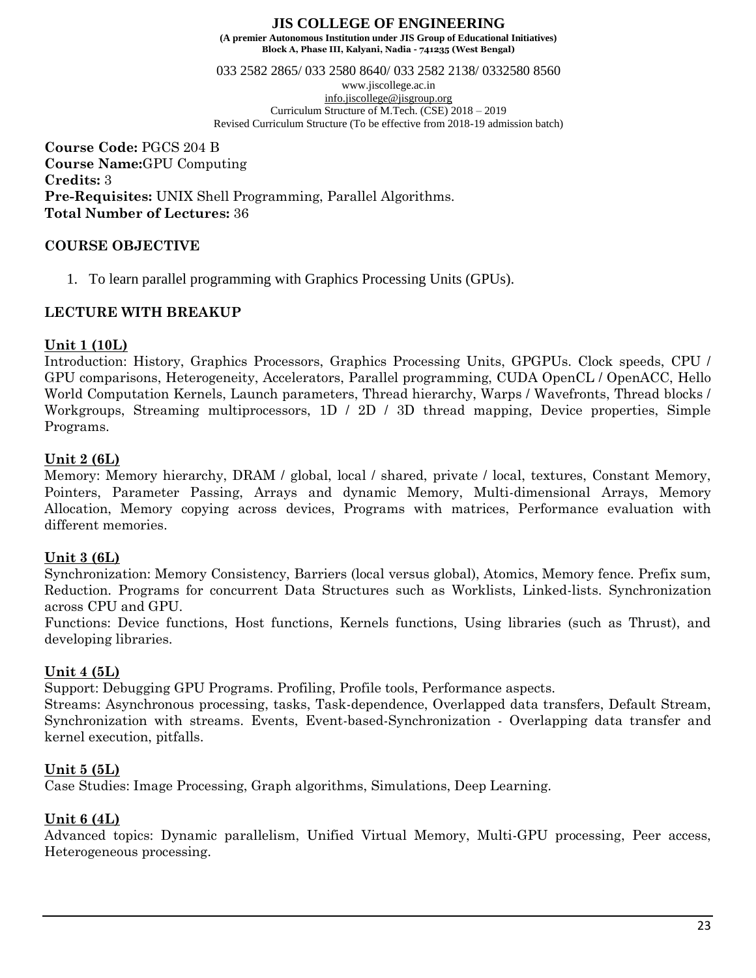033 2582 2865/ 033 2580 8640/ 033 2582 2138/ 0332580 8560

www.jiscollege.ac.in [info.jiscollege@jisgroup.org](mailto:info.jiscollege@jisgroup.org) Curriculum Structure of M.Tech. (CSE) 2018 – 2019 Revised Curriculum Structure (To be effective from 2018-19 admission batch)

**Course Code:** PGCS 204 B **Course Name:**GPU Computing **Credits:** 3 **Pre-Requisites:** UNIX Shell Programming, Parallel Algorithms. **Total Number of Lectures:** 36

# **COURSE OBJECTIVE**

1. To learn parallel programming with Graphics Processing Units (GPUs).

# **LECTURE WITH BREAKUP**

# **Unit 1 (10L)**

Introduction: History, Graphics Processors, Graphics Processing Units, GPGPUs. Clock speeds, CPU / GPU comparisons, Heterogeneity, Accelerators, Parallel programming, CUDA OpenCL / OpenACC, Hello World Computation Kernels, Launch parameters, Thread hierarchy, Warps / Wavefronts, Thread blocks / Workgroups, Streaming multiprocessors, 1D / 2D / 3D thread mapping, Device properties, Simple Programs.

# **Unit 2 (6L)**

Memory: Memory hierarchy, DRAM / global, local / shared, private / local, textures, Constant Memory, Pointers, Parameter Passing, Arrays and dynamic Memory, Multi-dimensional Arrays, Memory Allocation, Memory copying across devices, Programs with matrices, Performance evaluation with different memories.

# **Unit 3 (6L)**

Synchronization: Memory Consistency, Barriers (local versus global), Atomics, Memory fence. Prefix sum, Reduction. Programs for concurrent Data Structures such as Worklists, Linked-lists. Synchronization across CPU and GPU.

Functions: Device functions, Host functions, Kernels functions, Using libraries (such as Thrust), and developing libraries.

# **Unit 4 (5L)**

Support: Debugging GPU Programs. Profiling, Profile tools, Performance aspects.

Streams: Asynchronous processing, tasks, Task-dependence, Overlapped data transfers, Default Stream, Synchronization with streams. Events, Event-based-Synchronization - Overlapping data transfer and kernel execution, pitfalls.

# **Unit 5 (5L)**

Case Studies: Image Processing, Graph algorithms, Simulations, Deep Learning.

# **Unit 6 (4L)**

Advanced topics: Dynamic parallelism, Unified Virtual Memory, Multi-GPU processing, Peer access, Heterogeneous processing.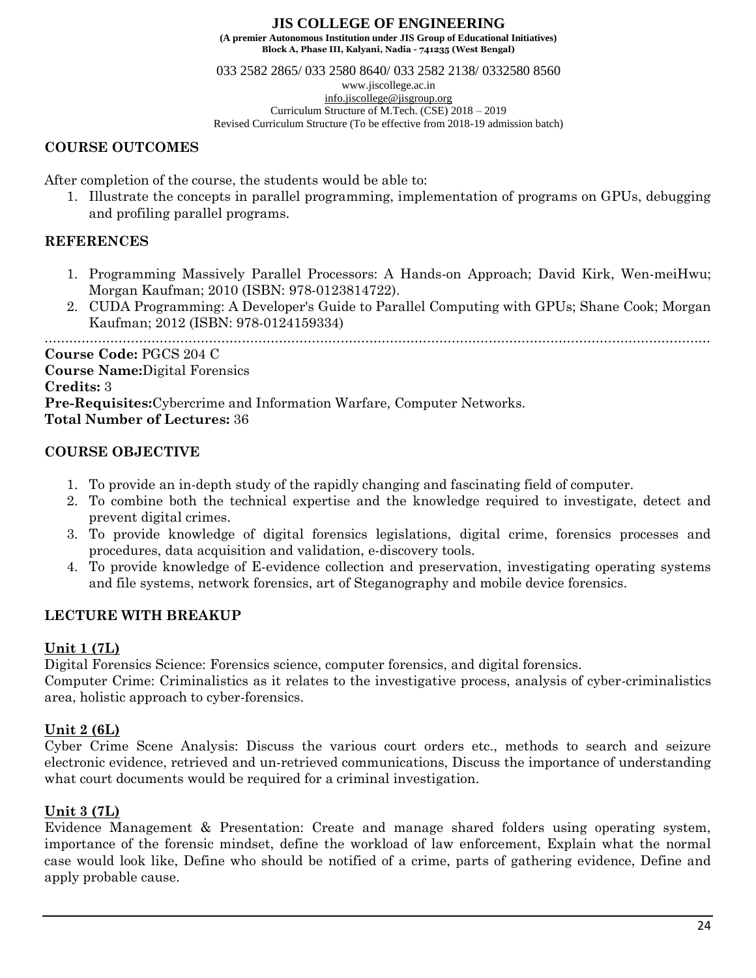**Block A, Phase III, Kalyani, Nadia - 741235 (West Bengal)**

033 2582 2865/ 033 2580 8640/ 033 2582 2138/ 0332580 8560

www.jiscollege.ac.in

[info.jiscollege@jisgroup.org](mailto:info.jiscollege@jisgroup.org) Curriculum Structure of M.Tech. (CSE) 2018 – 2019

Revised Curriculum Structure (To be effective from 2018-19 admission batch)

# **COURSE OUTCOMES**

After completion of the course, the students would be able to:

1. Illustrate the concepts in parallel programming, implementation of programs on GPUs, debugging and profiling parallel programs.

# **REFERENCES**

- 1. Programming Massively Parallel Processors: A Hands-on Approach; David Kirk, Wen-meiHwu; Morgan Kaufman; 2010 (ISBN: 978-0123814722).
- 2. CUDA Programming: A Developer's Guide to Parallel Computing with GPUs; Shane Cook; Morgan Kaufman; 2012 (ISBN: 978-0124159334)

**Course Code:** PGCS 204 C **Course Name:**Digital Forensics **Credits:** 3 **Pre-Requisites:**Cybercrime and Information Warfare, Computer Networks. **Total Number of Lectures:** 36

# **COURSE OBJECTIVE**

- 1. To provide an in-depth study of the rapidly changing and fascinating field of computer.
- 2. To combine both the technical expertise and the knowledge required to investigate, detect and prevent digital crimes.
- 3. To provide knowledge of digital forensics legislations, digital crime, forensics processes and procedures, data acquisition and validation, e-discovery tools.
- 4. To provide knowledge of E-evidence collection and preservation, investigating operating systems and file systems, network forensics, art of Steganography and mobile device forensics.

# **LECTURE WITH BREAKUP**

# **Unit 1 (7L)**

Digital Forensics Science: Forensics science, computer forensics, and digital forensics.

Computer Crime: Criminalistics as it relates to the investigative process, analysis of cyber-criminalistics area, holistic approach to cyber-forensics.

# **Unit 2 (6L)**

Cyber Crime Scene Analysis: Discuss the various court orders etc., methods to search and seizure electronic evidence, retrieved and un-retrieved communications, Discuss the importance of understanding what court documents would be required for a criminal investigation.

# **Unit 3 (7L)**

Evidence Management & Presentation: Create and manage shared folders using operating system, importance of the forensic mindset, define the workload of law enforcement, Explain what the normal case would look like, Define who should be notified of a crime, parts of gathering evidence, Define and apply probable cause.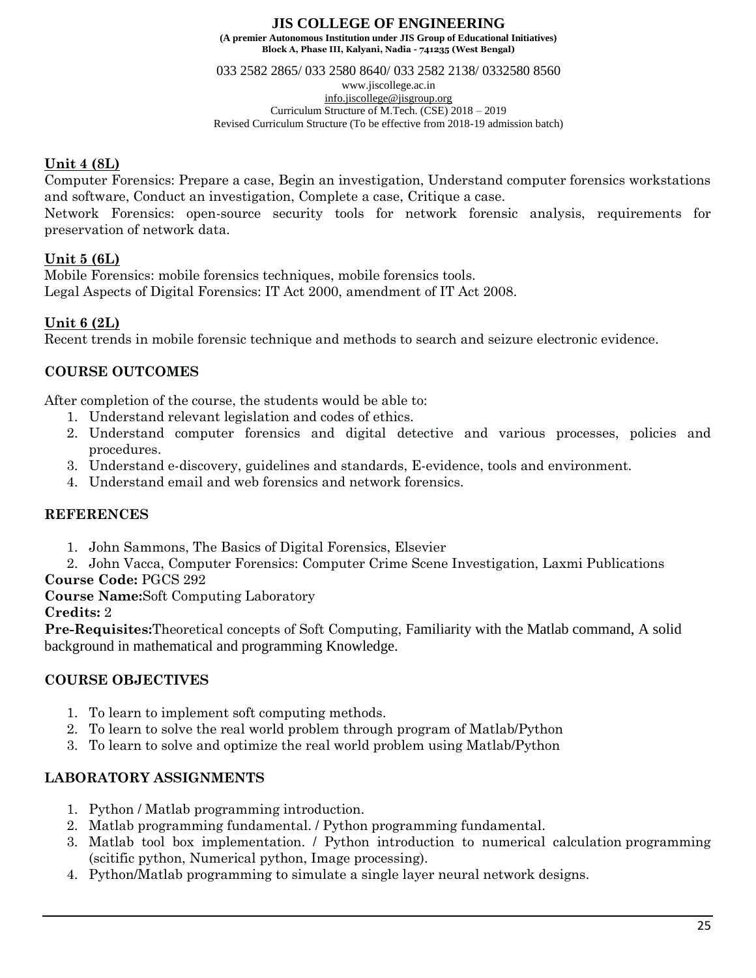033 2582 2865/ 033 2580 8640/ 033 2582 2138/ 0332580 8560

www.jiscollege.ac.in [info.jiscollege@jisgroup.org](mailto:info.jiscollege@jisgroup.org) Curriculum Structure of M.Tech. (CSE) 2018 – 2019 Revised Curriculum Structure (To be effective from 2018-19 admission batch)

# **Unit 4 (8L)**

Computer Forensics: Prepare a case, Begin an investigation, Understand computer forensics workstations and software, Conduct an investigation, Complete a case, Critique a case.

Network Forensics: open-source security tools for network forensic analysis, requirements for preservation of network data.

# **Unit 5 (6L)**

Mobile Forensics: mobile forensics techniques, mobile forensics tools. Legal Aspects of Digital Forensics: IT Act 2000, amendment of IT Act 2008.

# **Unit 6 (2L)**

Recent trends in mobile forensic technique and methods to search and seizure electronic evidence.

# **COURSE OUTCOMES**

After completion of the course, the students would be able to:

- 1. Understand relevant legislation and codes of ethics.
- 2. Understand computer forensics and digital detective and various processes, policies and procedures.
- 3. Understand e-discovery, guidelines and standards, E-evidence, tools and environment.
- 4. Understand email and web forensics and network forensics.

# **REFERENCES**

- 1. John Sammons, The Basics of Digital Forensics, Elsevier
- 2. John Vacca, Computer Forensics: Computer Crime Scene Investigation, Laxmi Publications

# **Course Code:** PGCS 292

**Course Name:**Soft Computing Laboratory

### **Credits:** 2

**Pre-Requisites:**Theoretical concepts of Soft Computing, Familiarity with the Matlab command, A solid background in mathematical and programming Knowledge.

# **COURSE OBJECTIVES**

- 1. To learn to implement soft computing methods.
- 2. To learn to solve the real world problem through program of Matlab/Python
- 3. To learn to solve and optimize the real world problem using Matlab/Python

# **LABORATORY ASSIGNMENTS**

- 1. Python / Matlab programming introduction.
- 2. Matlab programming fundamental. / Python programming fundamental.
- 3. Matlab tool box implementation. / Python introduction to numerical calculation programming (scitific python, Numerical python, Image processing).
- 4. Python/Matlab programming to simulate a single layer neural network designs.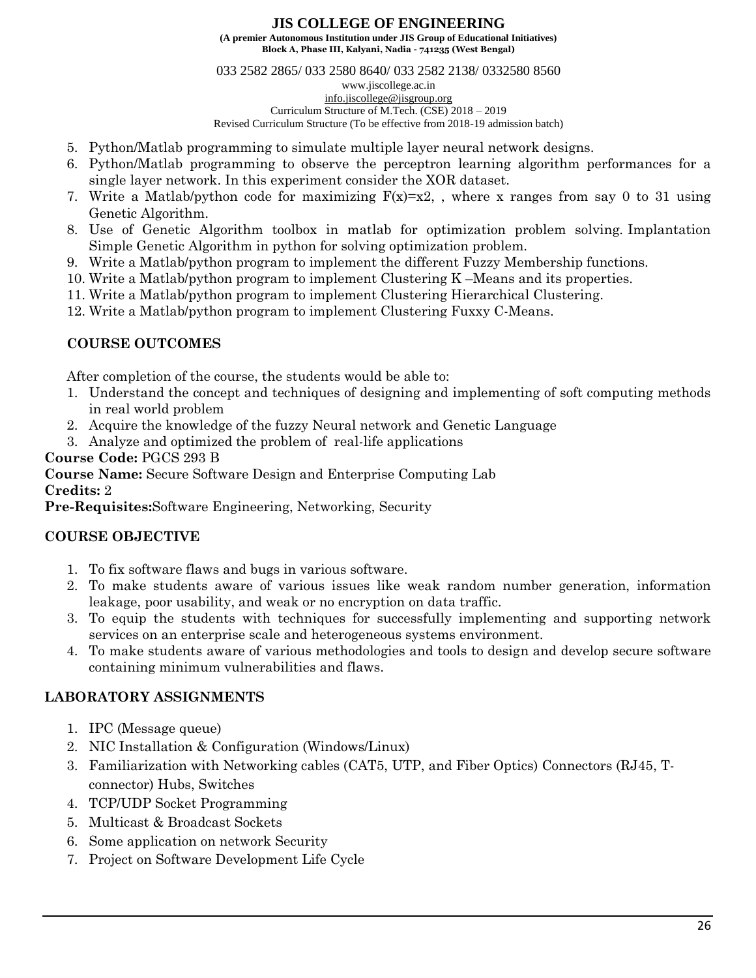033 2582 2865/ 033 2580 8640/ 033 2582 2138/ 0332580 8560

www.jiscollege.ac.in [info.jiscollege@jisgroup.org](mailto:info.jiscollege@jisgroup.org) Curriculum Structure of M.Tech. (CSE) 2018 – 2019

Revised Curriculum Structure (To be effective from 2018-19 admission batch)

- 5. Python/Matlab programming to simulate multiple layer neural network designs.
- 6. Python/Matlab programming to observe the perceptron learning algorithm performances for a single layer network. In this experiment consider the XOR dataset.
- 7. Write a Matlab/python code for maximizing  $F(x)=x^2$ , where x ranges from say 0 to 31 using Genetic Algorithm.
- 8. Use of Genetic Algorithm toolbox in matlab for optimization problem solving. Implantation Simple Genetic Algorithm in python for solving optimization problem.
- 9. Write a Matlab/python program to implement the different Fuzzy Membership functions.
- 10. Write a Matlab/python program to implement Clustering K –Means and its properties.
- 11. Write a Matlab/python program to implement Clustering Hierarchical Clustering.
- 12. Write a Matlab/python program to implement Clustering Fuxxy C-Means.

# **COURSE OUTCOMES**

After completion of the course, the students would be able to:

- 1. Understand the concept and techniques of designing and implementing of soft computing methods in real world problem
- 2. Acquire the knowledge of the fuzzy Neural network and Genetic Language
- 3. Analyze and optimized the problem of real-life applications

# **Course Code:** PGCS 293 B

**Course Name:** Secure Software Design and Enterprise Computing Lab

# **Credits:** 2

**Pre-Requisites:**Software Engineering, Networking, Security

# **COURSE OBJECTIVE**

- 1. To fix software flaws and bugs in various software.
- 2. To make students aware of various issues like weak random number generation, information leakage, poor usability, and weak or no encryption on data traffic.
- 3. To equip the students with techniques for successfully implementing and supporting network services on an enterprise scale and heterogeneous systems environment.
- 4. To make students aware of various methodologies and tools to design and develop secure software containing minimum vulnerabilities and flaws.

# **LABORATORY ASSIGNMENTS**

- 1. IPC (Message queue)
- 2. NIC Installation & Configuration (Windows/Linux)
- 3. Familiarization with Networking cables (CAT5, UTP, and Fiber Optics) Connectors (RJ45, Tconnector) Hubs, Switches
- 4. TCP/UDP Socket Programming
- 5. Multicast & Broadcast Sockets
- 6. Some application on network Security
- 7. Project on Software Development Life Cycle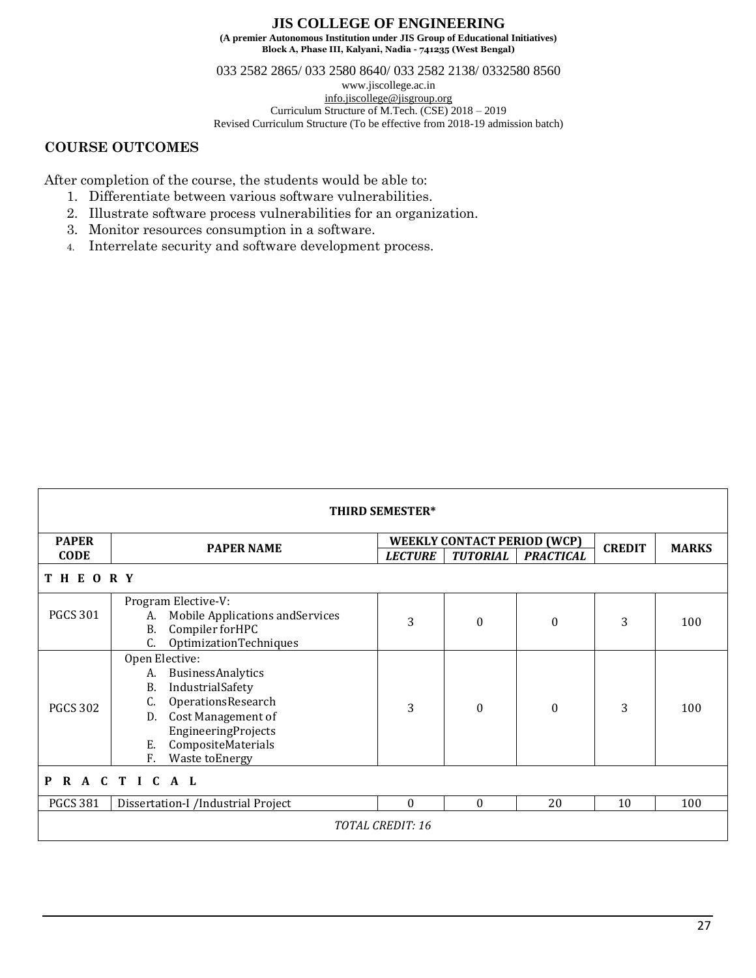033 2582 2865/ 033 2580 8640/ 033 2582 2138/ 0332580 8560

www.jiscollege.ac.in [info.jiscollege@jisgroup.org](mailto:info.jiscollege@jisgroup.org) Curriculum Structure of M.Tech. (CSE) 2018 – 2019 Revised Curriculum Structure (To be effective from 2018-19 admission batch)

# **COURSE OUTCOMES**

After completion of the course, the students would be able to:

- 1. Differentiate between various software vulnerabilities.
- 2. Illustrate software process vulnerabilities for an organization.
- 3. Monitor resources consumption in a software.
- 4. Interrelate security and software development process.

| <b>THIRD SEMESTER*</b> |                                                                                                                                                                                                        |                |                                    |                  |               |              |  |
|------------------------|--------------------------------------------------------------------------------------------------------------------------------------------------------------------------------------------------------|----------------|------------------------------------|------------------|---------------|--------------|--|
| <b>PAPER</b>           | <b>PAPER NAME</b>                                                                                                                                                                                      |                | <b>WEEKLY CONTACT PERIOD (WCP)</b> |                  |               | <b>MARKS</b> |  |
| <b>CODE</b>            |                                                                                                                                                                                                        | <b>LECTURE</b> | <b>TUTORIAL</b>                    | <b>PRACTICAL</b> | <b>CREDIT</b> |              |  |
| <b>THEORY</b>          |                                                                                                                                                                                                        |                |                                    |                  |               |              |  |
| <b>PGCS 301</b>        | Program Elective-V:<br>Mobile Applications and Services<br>A.<br>Compiler forHPC<br><b>B.</b><br>C.<br>OptimizationTechniques                                                                          | 3              | $\theta$                           | 0                | 3             | 100          |  |
| <b>PGCS 302</b>        | Open Elective:<br>BusinessAnalytics<br>A.<br>Β.<br>IndustrialSafety<br>OperationsResearch<br>C.<br>Cost Management of<br>D.<br>EngineeringProjects<br>CompositeMaterials<br>Е.<br>F.<br>Waste toEnergy | 3              | $\theta$                           | $\theta$         | 3             | 100          |  |
| RACTICAL<br>P          |                                                                                                                                                                                                        |                |                                    |                  |               |              |  |
| <b>PGCS 381</b>        | Dissertation-I /Industrial Project                                                                                                                                                                     | $\theta$       | $\theta$                           | 20               | 10            | 100          |  |
| TOTAL CREDIT: 16       |                                                                                                                                                                                                        |                |                                    |                  |               |              |  |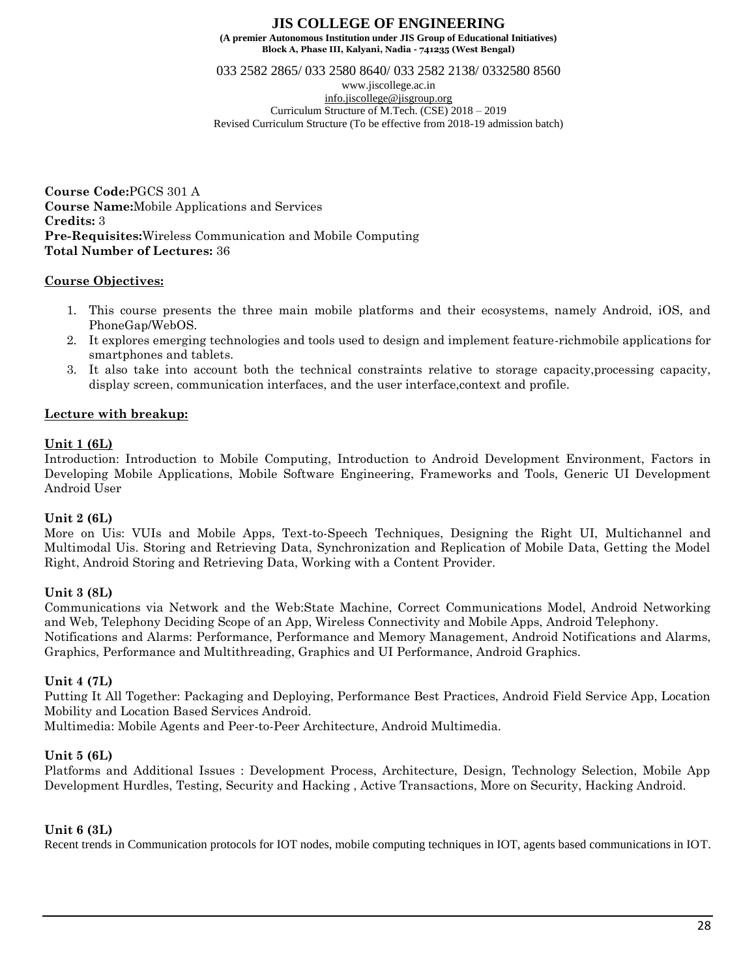033 2582 2865/ 033 2580 8640/ 033 2582 2138/ 0332580 8560

www.jiscollege.ac.in [info.jiscollege@jisgroup.org](mailto:info.jiscollege@jisgroup.org) Curriculum Structure of M.Tech. (CSE) 2018 – 2019 Revised Curriculum Structure (To be effective from 2018-19 admission batch)

**Course Code:**PGCS 301 A **Course Name:**Mobile Applications and Services **Credits:** 3 **Pre-Requisites:**Wireless Communication and Mobile Computing **Total Number of Lectures:** 36

### **Course Objectives:**

- 1. This course presents the three main mobile platforms and their ecosystems, namely Android, iOS, and PhoneGap/WebOS.
- 2. It explores emerging technologies and tools used to design and implement feature-richmobile applications for smartphones and tablets.
- 3. It also take into account both the technical constraints relative to storage capacity,processing capacity, display screen, communication interfaces, and the user interface,context and profile.

# **Lecture with breakup:**

### **Unit 1 (6L)**

Introduction: Introduction to Mobile Computing, Introduction to Android Development Environment, Factors in Developing Mobile Applications, Mobile Software Engineering, Frameworks and Tools, Generic UI Development Android User

### **Unit 2 (6L)**

More on Uis: VUIs and Mobile Apps, Text-to-Speech Techniques, Designing the Right UI, Multichannel and Multimodal Uis. Storing and Retrieving Data, Synchronization and Replication of Mobile Data, Getting the Model Right, Android Storing and Retrieving Data, Working with a Content Provider.

# **Unit 3 (8L)**

Communications via Network and the Web:State Machine, Correct Communications Model, Android Networking and Web, Telephony Deciding Scope of an App, Wireless Connectivity and Mobile Apps, Android Telephony. Notifications and Alarms: Performance, Performance and Memory Management, Android Notifications and Alarms, Graphics, Performance and Multithreading, Graphics and UI Performance, Android Graphics.

### **Unit 4 (7L)**

Putting It All Together: Packaging and Deploying, Performance Best Practices, Android Field Service App, Location Mobility and Location Based Services Android.

Multimedia: Mobile Agents and Peer-to-Peer Architecture, Android Multimedia.

### **Unit 5 (6L)**

Platforms and Additional Issues : Development Process, Architecture, Design, Technology Selection, Mobile App Development Hurdles, Testing, Security and Hacking , Active Transactions, More on Security, Hacking Android.

### **Unit 6 (3L)**

Recent trends in Communication protocols for IOT nodes, mobile computing techniques in IOT, agents based communications in IOT.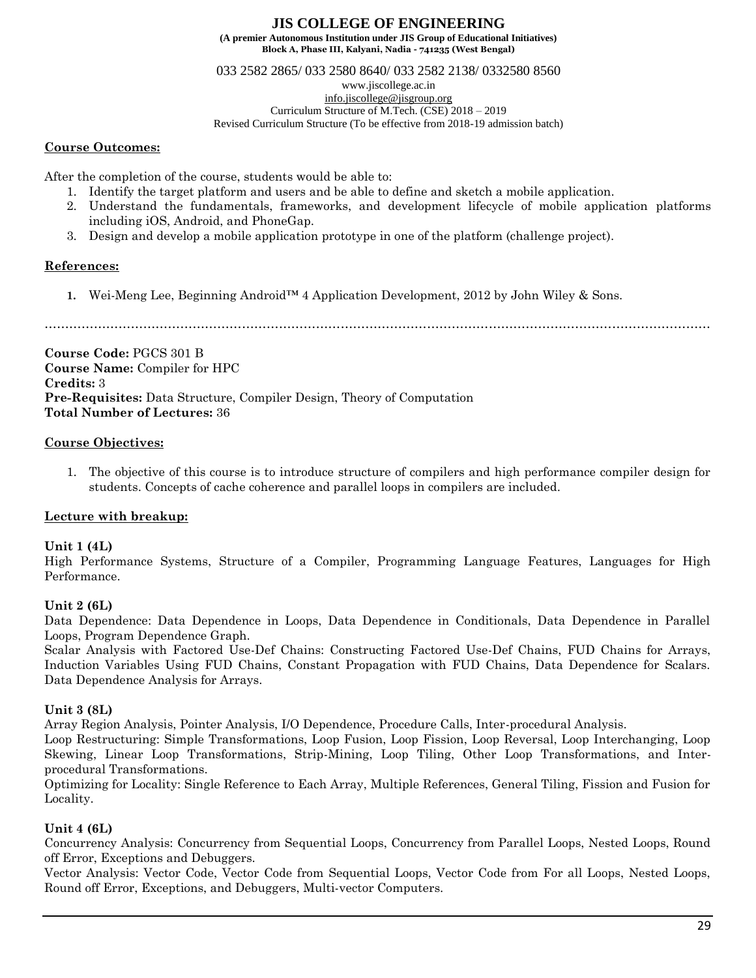033 2582 2865/ 033 2580 8640/ 033 2582 2138/ 0332580 8560

www.jiscollege.ac.in

[info.jiscollege@jisgroup.org](mailto:info.jiscollege@jisgroup.org) Curriculum Structure of M.Tech. (CSE) 2018 – 2019

Revised Curriculum Structure (To be effective from 2018-19 admission batch)

### **Course Outcomes:**

After the completion of the course, students would be able to:

- 1. Identify the target platform and users and be able to define and sketch a mobile application.
- 2. Understand the fundamentals, frameworks, and development lifecycle of mobile application platforms including iOS, Android, and PhoneGap.
- 3. Design and develop a mobile application prototype in one of the platform (challenge project).

# **References:**

**1.** Wei-Meng Lee, Beginning Android™ 4 Application Development, 2012 by John Wiley & Sons.

**Course Code:** PGCS 301 B **Course Name:** Compiler for HPC **Credits:** 3 **Pre-Requisites:** Data Structure, Compiler Design, Theory of Computation **Total Number of Lectures:** 36

# **Course Objectives:**

1. The objective of this course is to introduce structure of compilers and high performance compiler design for students. Concepts of cache coherence and parallel loops in compilers are included.

# **Lecture with breakup:**

# **Unit 1 (4L)**

High Performance Systems, Structure of a Compiler, Programming Language Features, Languages for High Performance.

# **Unit 2 (6L)**

Data Dependence: Data Dependence in Loops, Data Dependence in Conditionals, Data Dependence in Parallel Loops, Program Dependence Graph.

Scalar Analysis with Factored Use-Def Chains: Constructing Factored Use-Def Chains, FUD Chains for Arrays, Induction Variables Using FUD Chains, Constant Propagation with FUD Chains, Data Dependence for Scalars. Data Dependence Analysis for Arrays.

# **Unit 3 (8L)**

Array Region Analysis, Pointer Analysis, I/O Dependence, Procedure Calls, Inter-procedural Analysis.

Loop Restructuring: Simple Transformations, Loop Fusion, Loop Fission, Loop Reversal, Loop Interchanging, Loop Skewing, Linear Loop Transformations, Strip-Mining, Loop Tiling, Other Loop Transformations, and Interprocedural Transformations.

Optimizing for Locality: Single Reference to Each Array, Multiple References, General Tiling, Fission and Fusion for Locality.

# **Unit 4 (6L)**

Concurrency Analysis: Concurrency from Sequential Loops, Concurrency from Parallel Loops, Nested Loops, Round off Error, Exceptions and Debuggers.

Vector Analysis: Vector Code, Vector Code from Sequential Loops, Vector Code from For all Loops, Nested Loops, Round off Error, Exceptions, and Debuggers, Multi-vector Computers.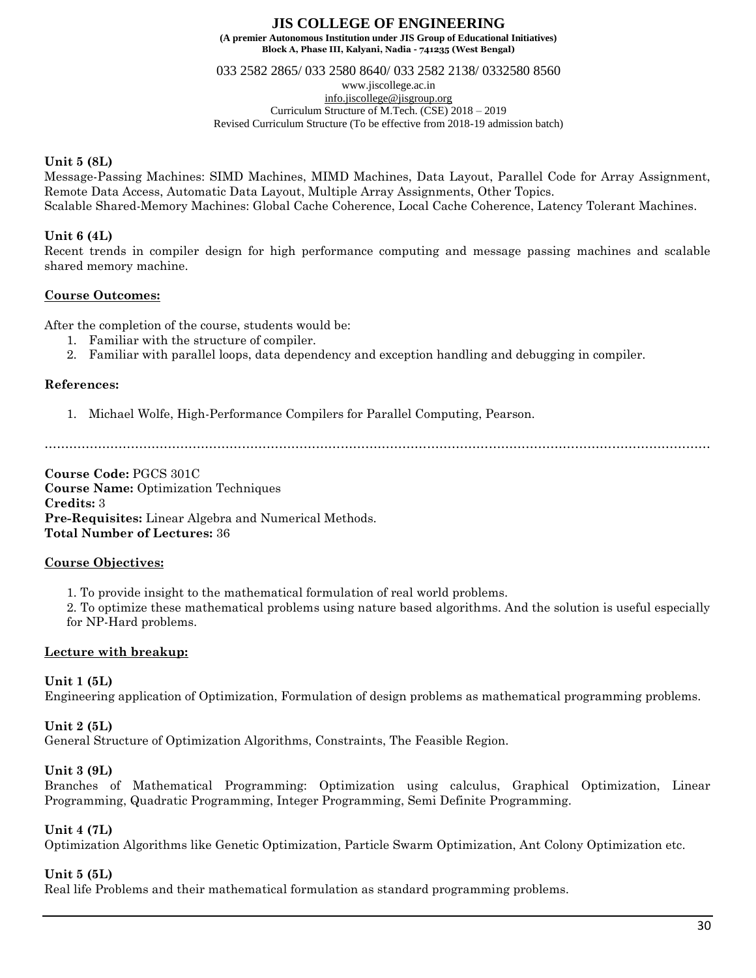033 2582 2865/ 033 2580 8640/ 033 2582 2138/ 0332580 8560

www.jiscollege.ac.in [info.jiscollege@jisgroup.org](mailto:info.jiscollege@jisgroup.org)

Curriculum Structure of M.Tech. (CSE) 2018 – 2019

Revised Curriculum Structure (To be effective from 2018-19 admission batch)

### **Unit 5 (8L)**

Message-Passing Machines: SIMD Machines, MIMD Machines, Data Layout, Parallel Code for Array Assignment, Remote Data Access, Automatic Data Layout, Multiple Array Assignments, Other Topics. Scalable Shared-Memory Machines: Global Cache Coherence, Local Cache Coherence, Latency Tolerant Machines.

### **Unit 6 (4L)**

Recent trends in compiler design for high performance computing and message passing machines and scalable shared memory machine.

## **Course Outcomes:**

After the completion of the course, students would be:

- 1. Familiar with the structure of compiler.
- 2. Familiar with parallel loops, data dependency and exception handling and debugging in compiler.

## **References:**

1. Michael Wolfe, High-Performance Compilers for Parallel Computing, Pearson.

………………………………………………………………………………………………………………………………………………

**Course Code:** PGCS 301C **Course Name:** Optimization Techniques **Credits:** 3 **Pre-Requisites:** Linear Algebra and Numerical Methods. **Total Number of Lectures:** 36

### **Course Objectives:**

1. To provide insight to the mathematical formulation of real world problems.

2. To optimize these mathematical problems using nature based algorithms. And the solution is useful especially for NP-Hard problems.

# **Lecture with breakup:**

# **Unit 1 (5L)**

Engineering application of Optimization, Formulation of design problems as mathematical programming problems.

# **Unit 2 (5L)**

General Structure of Optimization Algorithms, Constraints, The Feasible Region.

### **Unit 3 (9L)**

Branches of Mathematical Programming: Optimization using calculus, Graphical Optimization, Linear Programming, Quadratic Programming, Integer Programming, Semi Definite Programming.

### **Unit 4 (7L)**

Optimization Algorithms like Genetic Optimization, Particle Swarm Optimization, Ant Colony Optimization etc.

# **Unit 5 (5L)**

Real life Problems and their mathematical formulation as standard programming problems.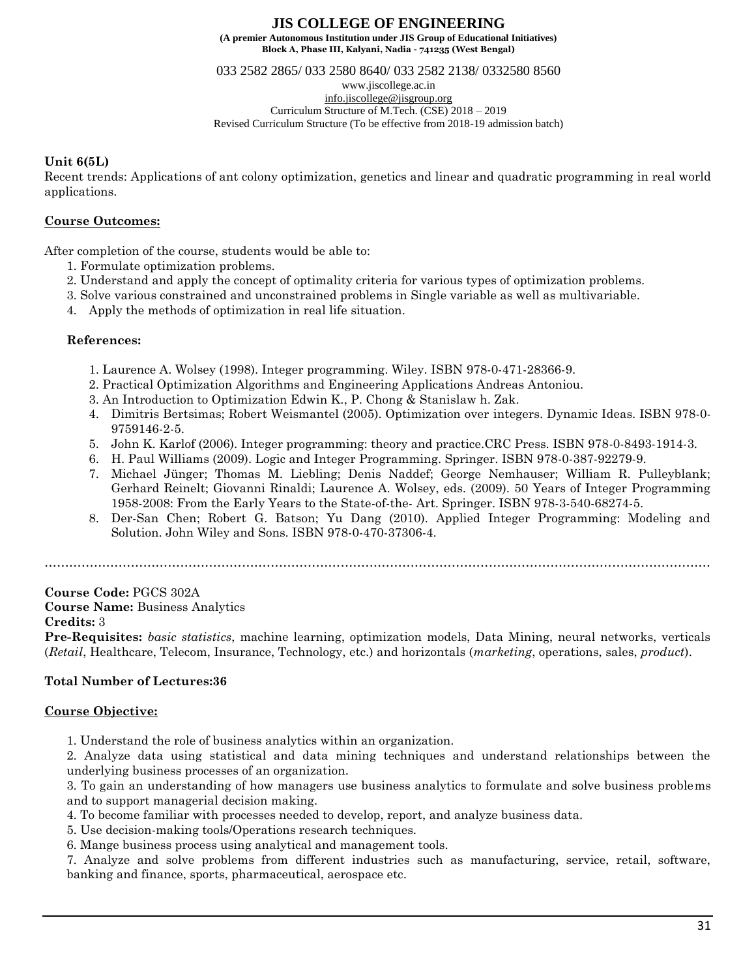033 2582 2865/ 033 2580 8640/ 033 2582 2138/ 0332580 8560

www.jiscollege.ac.in [info.jiscollege@jisgroup.org](mailto:info.jiscollege@jisgroup.org) Curriculum Structure of M.Tech. (CSE) 2018 – 2019 Revised Curriculum Structure (To be effective from 2018-19 admission batch)

#### **Unit 6(5L)**

Recent trends: Applications of ant colony optimization, genetics and linear and quadratic programming in real world applications.

### **Course Outcomes:**

After completion of the course, students would be able to:

- 1. Formulate optimization problems.
- 2. Understand and apply the concept of optimality criteria for various types of optimization problems.
- 3. Solve various constrained and unconstrained problems in Single variable as well as multivariable.
- 4. Apply the methods of optimization in real life situation.

#### **References:**

- 1. Laurence A. Wolsey (1998). Integer programming. Wiley. ISBN 978-0-471-28366-9.
- 2. Practical Optimization Algorithms and Engineering Applications Andreas Antoniou.
- 3. An Introduction to Optimization Edwin K., P. Chong & Stanislaw h. Zak.
- 4. Dimitris Bertsimas; Robert Weismantel (2005). Optimization over integers. Dynamic Ideas. ISBN 978-0- 9759146-2-5.
- 5. John K. Karlof (2006). Integer programming: theory and practice.CRC Press. ISBN 978-0-8493-1914-3.
- 6. H. Paul Williams (2009). Logic and Integer Programming. Springer. ISBN 978-0-387-92279-9.
- 7. Michael Jünger; Thomas M. Liebling; Denis Naddef; George Nemhauser; William R. Pulleyblank; Gerhard Reinelt; Giovanni Rinaldi; Laurence A. Wolsey, eds. (2009). 50 Years of Integer Programming 1958-2008: From the Early Years to the State-of-the- Art. Springer. ISBN 978-3-540-68274-5.
- 8. Der-San Chen; Robert G. Batson; Yu Dang (2010). Applied Integer Programming: Modeling and Solution. John Wiley and Sons. ISBN 978-0-470-37306-4.

………………………………………………………………………………………………………………………………………………

**Course Code:** PGCS 302A

**Course Name:** Business Analytics

#### **Credits:** 3

**Pre-Requisites:** *basic statistics*, machine learning, optimization models, Data Mining, neural networks, verticals (*Retail*, Healthcare, Telecom, Insurance, Technology, etc.) and horizontals (*marketing*, operations, sales, *product*).

### **Total Number of Lectures:36**

### **Course Objective:**

1. Understand the role of business analytics within an organization.

2. Analyze data using statistical and data mining techniques and understand relationships between the underlying business processes of an organization.

3. To gain an understanding of how managers use business analytics to formulate and solve business problems and to support managerial decision making.

- 4. To become familiar with processes needed to develop, report, and analyze business data.
- 5. Use decision-making tools/Operations research techniques.
- 6. Mange business process using analytical and management tools.

7. Analyze and solve problems from different industries such as manufacturing, service, retail, software, banking and finance, sports, pharmaceutical, aerospace etc.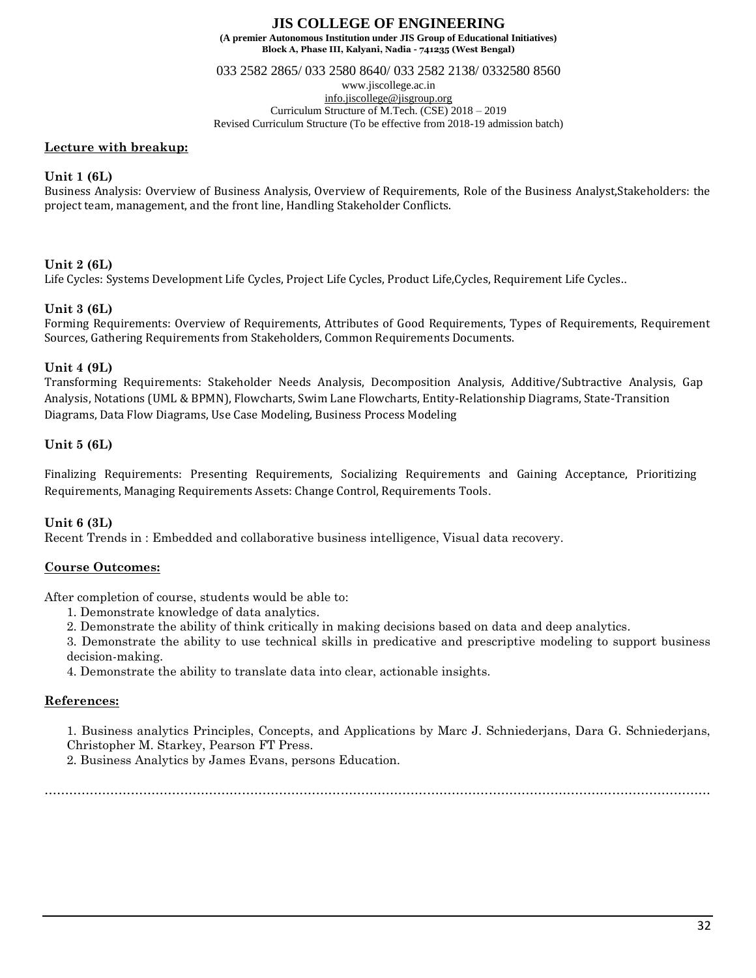**Block A, Phase III, Kalyani, Nadia - 741235 (West Bengal)**

033 2582 2865/ 033 2580 8640/ 033 2582 2138/ 0332580 8560

www.jiscollege.ac.in [info.jiscollege@jisgroup.org](mailto:info.jiscollege@jisgroup.org)

Curriculum Structure of M.Tech. (CSE) 2018 – 2019

Revised Curriculum Structure (To be effective from 2018-19 admission batch)

#### **Lecture with breakup:**

### **Unit 1 (6L)**

Business Analysis: Overview of Business Analysis, Overview of Requirements, Role of the Business Analyst,Stakeholders: the project team, management, and the front line, Handling Stakeholder Conflicts.

### **Unit 2 (6L)**

Life Cycles: Systems Development Life Cycles, Project Life Cycles, Product Life,Cycles, Requirement Life Cycles..

### **Unit 3 (6L)**

Forming Requirements: Overview of Requirements, Attributes of Good Requirements, Types of Requirements, Requirement Sources, Gathering Requirements from Stakeholders, Common Requirements Documents.

### **Unit 4 (9L)**

Transforming Requirements: Stakeholder Needs Analysis, Decomposition Analysis, Additive/Subtractive Analysis, Gap Analysis, Notations (UML & BPMN), Flowcharts, Swim Lane Flowcharts, Entity-Relationship Diagrams, State-Transition Diagrams, Data Flow Diagrams, Use Case Modeling, Business Process Modeling

### **Unit 5 (6L)**

Finalizing Requirements: Presenting Requirements, Socializing Requirements and Gaining Acceptance, Prioritizing Requirements, Managing Requirements Assets: Change Control, Requirements Tools.

### **Unit 6 (3L)**

Recent Trends in : Embedded and collaborative business intelligence, Visual data recovery.

### **Course Outcomes:**

After completion of course, students would be able to:

- 1. Demonstrate knowledge of data analytics.
- 2. Demonstrate the ability of think critically in making decisions based on data and deep analytics.
- 3. Demonstrate the ability to use technical skills in predicative and prescriptive modeling to support business decision-making.
- 4. Demonstrate the ability to translate data into clear, actionable insights.

### **References:**

1. Business analytics Principles, Concepts, and Applications by Marc J. Schniederjans, Dara G. Schniederjans, Christopher M. Starkey, Pearson FT Press.

2. Business Analytics by James Evans, persons Education.

………………………………………………………………………………………………………………………………………………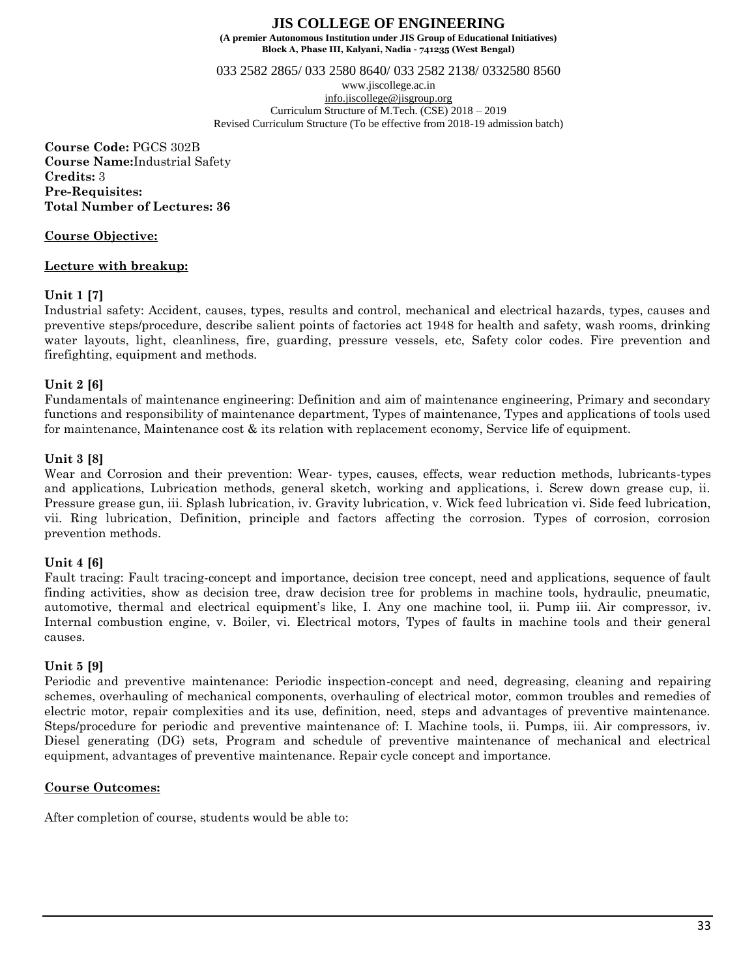033 2582 2865/ 033 2580 8640/ 033 2582 2138/ 0332580 8560

www.jiscollege.ac.in [info.jiscollege@jisgroup.org](mailto:info.jiscollege@jisgroup.org) Curriculum Structure of M.Tech. (CSE) 2018 – 2019 Revised Curriculum Structure (To be effective from 2018-19 admission batch)

**Course Code:** PGCS 302B **Course Name:**Industrial Safety **Credits:** 3 **Pre-Requisites: Total Number of Lectures: 36**

### **Course Objective:**

#### **Lecture with breakup:**

### **Unit 1 [7]**

Industrial safety: Accident, causes, types, results and control, mechanical and electrical hazards, types, causes and preventive steps/procedure, describe salient points of factories act 1948 for health and safety, wash rooms, drinking water layouts, light, cleanliness, fire, guarding, pressure vessels, etc, Safety color codes. Fire prevention and firefighting, equipment and methods.

#### **Unit 2 [6]**

Fundamentals of maintenance engineering: Definition and aim of maintenance engineering, Primary and secondary functions and responsibility of maintenance department, Types of maintenance, Types and applications of tools used for maintenance, Maintenance cost & its relation with replacement economy, Service life of equipment.

#### **Unit 3 [8]**

Wear and Corrosion and their prevention: Wear- types, causes, effects, wear reduction methods, lubricants-types and applications, Lubrication methods, general sketch, working and applications, i. Screw down grease cup, ii. Pressure grease gun, iii. Splash lubrication, iv. Gravity lubrication, v. Wick feed lubrication vi. Side feed lubrication, vii. Ring lubrication, Definition, principle and factors affecting the corrosion. Types of corrosion, corrosion prevention methods.

### **Unit 4 [6]**

Fault tracing: Fault tracing-concept and importance, decision tree concept, need and applications, sequence of fault finding activities, show as decision tree, draw decision tree for problems in machine tools, hydraulic, pneumatic, automotive, thermal and electrical equipment's like, I. Any one machine tool, ii. Pump iii. Air compressor, iv. Internal combustion engine, v. Boiler, vi. Electrical motors, Types of faults in machine tools and their general causes.

#### **Unit 5 [9]**

Periodic and preventive maintenance: Periodic inspection-concept and need, degreasing, cleaning and repairing schemes, overhauling of mechanical components, overhauling of electrical motor, common troubles and remedies of electric motor, repair complexities and its use, definition, need, steps and advantages of preventive maintenance. Steps/procedure for periodic and preventive maintenance of: I. Machine tools, ii. Pumps, iii. Air compressors, iv. Diesel generating (DG) sets, Program and schedule of preventive maintenance of mechanical and electrical equipment, advantages of preventive maintenance. Repair cycle concept and importance.

### **Course Outcomes:**

After completion of course, students would be able to: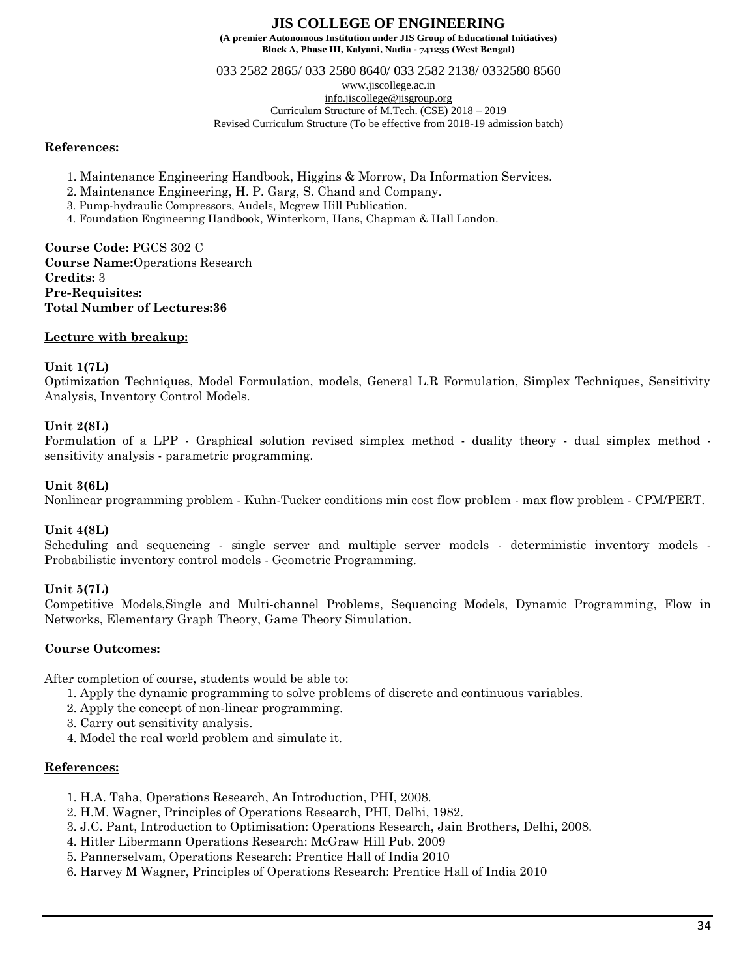033 2582 2865/ 033 2580 8640/ 033 2582 2138/ 0332580 8560

www.jiscollege.ac.in

[info.jiscollege@jisgroup.org](mailto:info.jiscollege@jisgroup.org)

Curriculum Structure of M.Tech. (CSE) 2018 – 2019 Revised Curriculum Structure (To be effective from 2018-19 admission batch)

## **References:**

- 1. Maintenance Engineering Handbook, Higgins & Morrow, Da Information Services.
- 2. Maintenance Engineering, H. P. Garg, S. Chand and Company.
- 3. Pump-hydraulic Compressors, Audels, Mcgrew Hill Publication.
- 4. Foundation Engineering Handbook, Winterkorn, Hans, Chapman & Hall London.

**Course Code:** PGCS 302 C **Course Name:**Operations Research **Credits:** 3 **Pre-Requisites: Total Number of Lectures:36**

# **Lecture with breakup:**

# **Unit 1(7L)**

Optimization Techniques, Model Formulation, models, General L.R Formulation, Simplex Techniques, Sensitivity Analysis, Inventory Control Models.

# **Unit 2(8L)**

Formulation of a LPP - Graphical solution revised simplex method - duality theory - dual simplex method sensitivity analysis - parametric programming.

### **Unit 3(6L)**

Nonlinear programming problem - Kuhn-Tucker conditions min cost flow problem - max flow problem - CPM/PERT.

# **Unit 4(8L)**

Scheduling and sequencing - single server and multiple server models - deterministic inventory models - Probabilistic inventory control models - Geometric Programming.

# **Unit 5(7L)**

Competitive Models,Single and Multi-channel Problems, Sequencing Models, Dynamic Programming, Flow in Networks, Elementary Graph Theory, Game Theory Simulation.

# **Course Outcomes:**

After completion of course, students would be able to:

- 1. Apply the dynamic programming to solve problems of discrete and continuous variables.
- 2. Apply the concept of non-linear programming.
- 3. Carry out sensitivity analysis.
- 4. Model the real world problem and simulate it.

### **References:**

- 1. H.A. Taha, Operations Research, An Introduction, PHI, 2008.
- 2. H.M. Wagner, Principles of Operations Research, PHI, Delhi, 1982.
- 3. J.C. Pant, Introduction to Optimisation: Operations Research, Jain Brothers, Delhi, 2008.
- 4. Hitler Libermann Operations Research: McGraw Hill Pub. 2009
- 5. Pannerselvam, Operations Research: Prentice Hall of India 2010
- 6. Harvey M Wagner, Principles of Operations Research: Prentice Hall of India 2010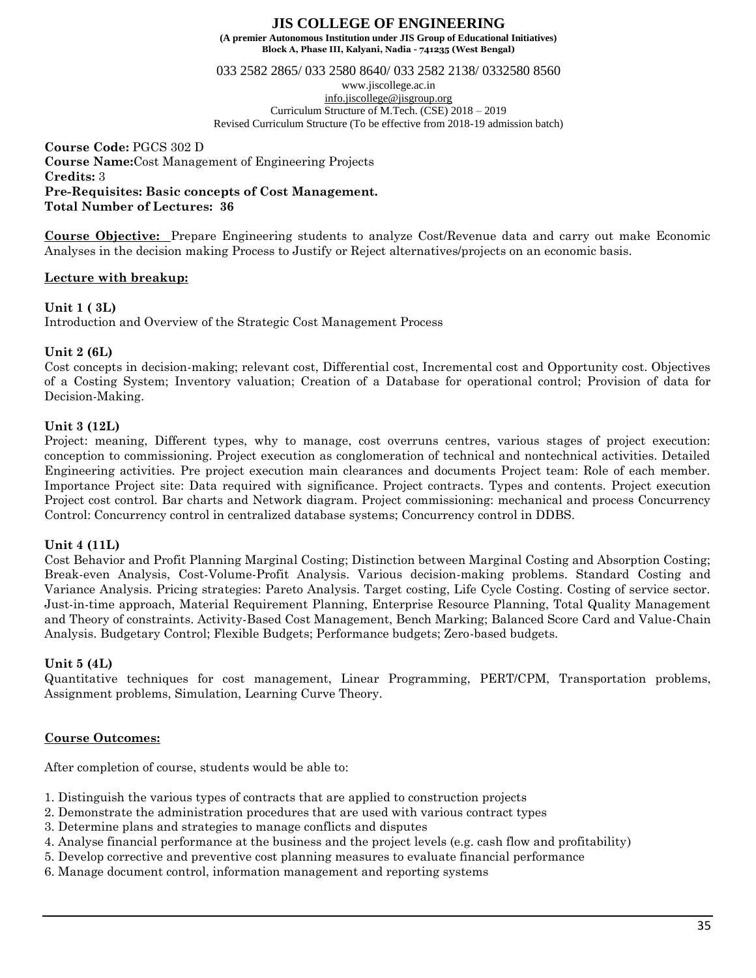**Block A, Phase III, Kalyani, Nadia - 741235 (West Bengal)**

033 2582 2865/ 033 2580 8640/ 033 2582 2138/ 0332580 8560

www.jiscollege.ac.in [info.jiscollege@jisgroup.org](mailto:info.jiscollege@jisgroup.org) Curriculum Structure of M.Tech. (CSE) 2018 – 2019 Revised Curriculum Structure (To be effective from 2018-19 admission batch)

**Course Code:** PGCS 302 D **Course Name:**Cost Management of Engineering Projects **Credits:** 3 **Pre-Requisites: Basic concepts of Cost Management. Total Number of Lectures: 36**

**Course Objective:** Prepare Engineering students to analyze Cost/Revenue data and carry out make Economic Analyses in the decision making Process to Justify or Reject alternatives/projects on an economic basis.

### **Lecture with breakup:**

### **Unit 1 ( 3L)**

Introduction and Overview of the Strategic Cost Management Process

## **Unit 2 (6L)**

Cost concepts in decision-making; relevant cost, Differential cost, Incremental cost and Opportunity cost. Objectives of a Costing System; Inventory valuation; Creation of a Database for operational control; Provision of data for Decision-Making.

### **Unit 3 (12L)**

Project: meaning, Different types, why to manage, cost overruns centres, various stages of project execution: conception to commissioning. Project execution as conglomeration of technical and nontechnical activities. Detailed Engineering activities. Pre project execution main clearances and documents Project team: Role of each member. Importance Project site: Data required with significance. Project contracts. Types and contents. Project execution Project cost control. Bar charts and Network diagram. Project commissioning: mechanical and process Concurrency Control: Concurrency control in centralized database systems; Concurrency control in DDBS.

### **Unit 4 (11L)**

Cost Behavior and Profit Planning Marginal Costing; Distinction between Marginal Costing and Absorption Costing; Break-even Analysis, Cost-Volume-Profit Analysis. Various decision-making problems. Standard Costing and Variance Analysis. Pricing strategies: Pareto Analysis. Target costing, Life Cycle Costing. Costing of service sector. Just-in-time approach, Material Requirement Planning, Enterprise Resource Planning, Total Quality Management and Theory of constraints. Activity-Based Cost Management, Bench Marking; Balanced Score Card and Value-Chain Analysis. Budgetary Control; Flexible Budgets; Performance budgets; Zero-based budgets.

### **Unit 5 (4L)**

Quantitative techniques for cost management, Linear Programming, PERT/CPM, Transportation problems, Assignment problems, Simulation, Learning Curve Theory.

### **Course Outcomes:**

After completion of course, students would be able to:

- 1. Distinguish the various types of contracts that are applied to construction projects
- 2. Demonstrate the administration procedures that are used with various contract types
- 3. Determine plans and strategies to manage conflicts and disputes
- 4. Analyse financial performance at the business and the project levels (e.g. cash flow and profitability)
- 5. Develop corrective and preventive cost planning measures to evaluate financial performance
- 6. Manage document control, information management and reporting systems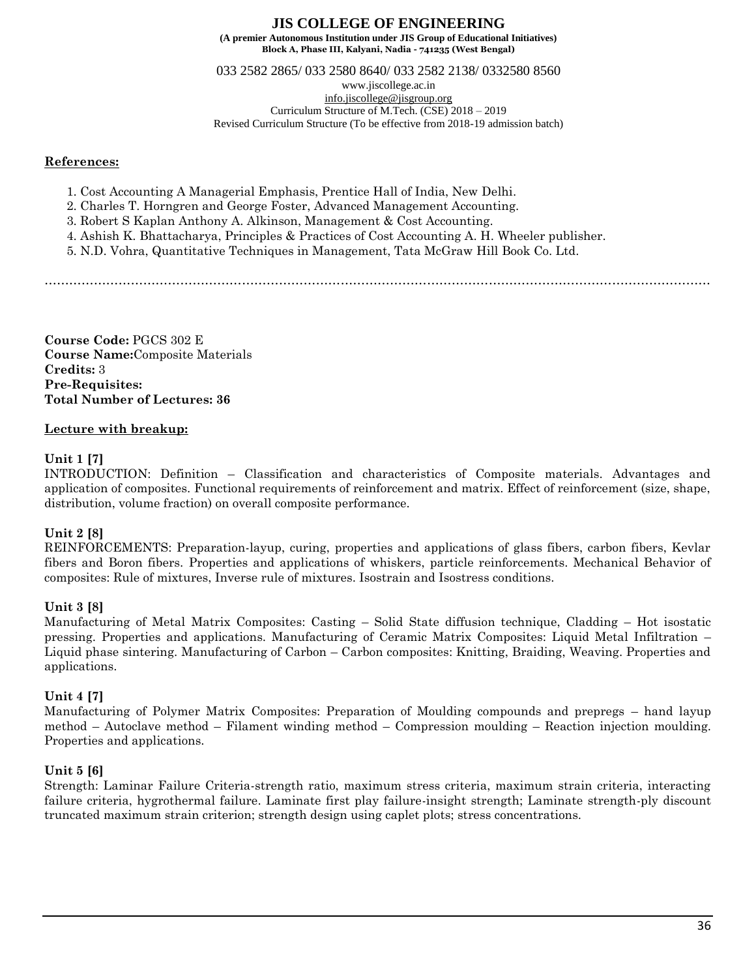033 2582 2865/ 033 2580 8640/ 033 2582 2138/ 0332580 8560

www.jiscollege.ac.in

[info.jiscollege@jisgroup.org](mailto:info.jiscollege@jisgroup.org) Curriculum Structure of M.Tech. (CSE) 2018 – 2019

Revised Curriculum Structure (To be effective from 2018-19 admission batch)

## **References:**

- 1. Cost Accounting A Managerial Emphasis, Prentice Hall of India, New Delhi.
- 2. Charles T. Horngren and George Foster, Advanced Management Accounting.
- 3. Robert S Kaplan Anthony A. Alkinson, Management & Cost Accounting.
- 4. Ashish K. Bhattacharya, Principles & Practices of Cost Accounting A. H. Wheeler publisher.
- 5. N.D. Vohra, Quantitative Techniques in Management, Tata McGraw Hill Book Co. Ltd.

………………………………………………………………………………………………………………………………………………

**Course Code:** PGCS 302 E **Course Name:**Composite Materials **Credits:** 3 **Pre-Requisites: Total Number of Lectures: 36**

## **Lecture with breakup:**

## **Unit 1 [7]**

INTRODUCTION: Definition – Classification and characteristics of Composite materials. Advantages and application of composites. Functional requirements of reinforcement and matrix. Effect of reinforcement (size, shape, distribution, volume fraction) on overall composite performance.

# **Unit 2 [8]**

REINFORCEMENTS: Preparation-layup, curing, properties and applications of glass fibers, carbon fibers, Kevlar fibers and Boron fibers. Properties and applications of whiskers, particle reinforcements. Mechanical Behavior of composites: Rule of mixtures, Inverse rule of mixtures. Isostrain and Isostress conditions.

### **Unit 3 [8]**

Manufacturing of Metal Matrix Composites: Casting – Solid State diffusion technique, Cladding – Hot isostatic pressing. Properties and applications. Manufacturing of Ceramic Matrix Composites: Liquid Metal Infiltration – Liquid phase sintering. Manufacturing of Carbon – Carbon composites: Knitting, Braiding, Weaving. Properties and applications.

### **Unit 4 [7]**

Manufacturing of Polymer Matrix Composites: Preparation of Moulding compounds and prepregs – hand layup method – Autoclave method – Filament winding method – Compression moulding – Reaction injection moulding. Properties and applications.

# **Unit 5 [6]**

Strength: Laminar Failure Criteria-strength ratio, maximum stress criteria, maximum strain criteria, interacting failure criteria, hygrothermal failure. Laminate first play failure-insight strength; Laminate strength-ply discount truncated maximum strain criterion; strength design using caplet plots; stress concentrations.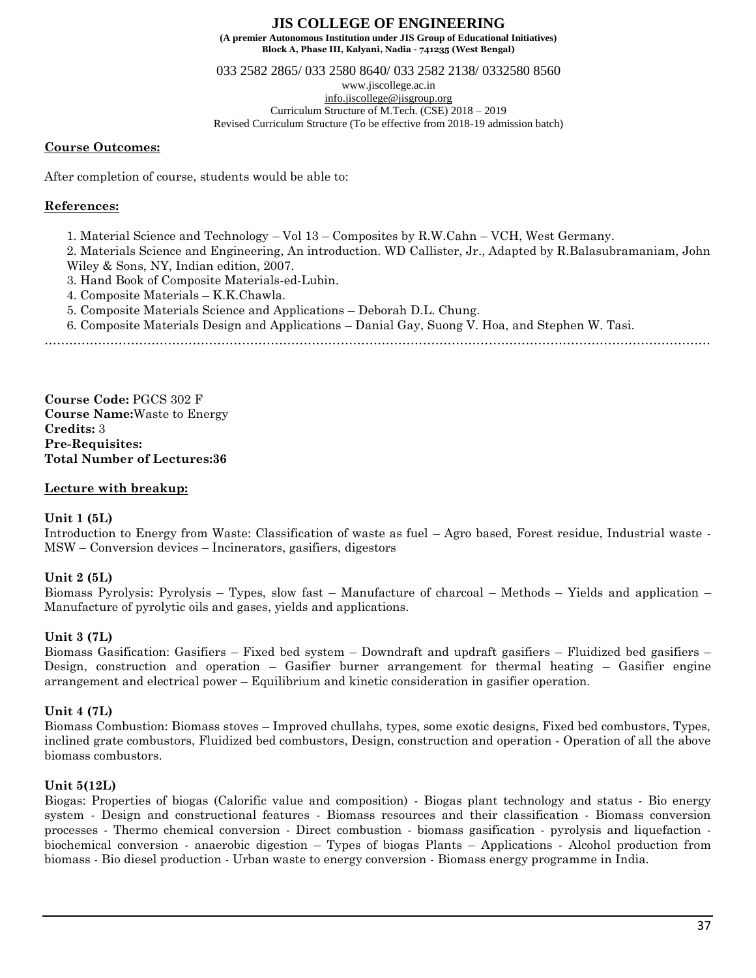**Block A, Phase III, Kalyani, Nadia - 741235 (West Bengal)**

033 2582 2865/ 033 2580 8640/ 033 2582 2138/ 0332580 8560

www.jiscollege.ac.in

[info.jiscollege@jisgroup.org](mailto:info.jiscollege@jisgroup.org) Curriculum Structure of M.Tech. (CSE) 2018 – 2019

Revised Curriculum Structure (To be effective from 2018-19 admission batch)

#### **Course Outcomes:**

After completion of course, students would be able to:

### **References:**

- 1. Material Science and Technology Vol 13 Composites by R.W.Cahn VCH, West Germany.
- 2. Materials Science and Engineering, An introduction. WD Callister, Jr., Adapted by R.Balasubramaniam, John
- Wiley & Sons, NY, Indian edition, 2007.
- 3. Hand Book of Composite Materials-ed-Lubin.
- 4. Composite Materials K.K.Chawla.
- 5. Composite Materials Science and Applications Deborah D.L. Chung.
- 6. Composite Materials Design and Applications Danial Gay, Suong V. Hoa, and Stephen W. Tasi.

………………………………………………………………………………………………………………………………………………

**Course Code:** PGCS 302 F **Course Name:**Waste to Energy **Credits:** 3 **Pre-Requisites: Total Number of Lectures:36**

### **Lecture with breakup:**

### **Unit 1 (5L)**

Introduction to Energy from Waste: Classification of waste as fuel – Agro based, Forest residue, Industrial waste - MSW – Conversion devices – Incinerators, gasifiers, digestors

### **Unit 2 (5L)**

Biomass Pyrolysis: Pyrolysis – Types, slow fast – Manufacture of charcoal – Methods – Yields and application – Manufacture of pyrolytic oils and gases, yields and applications.

### **Unit 3 (7L)**

Biomass Gasification: Gasifiers – Fixed bed system – Downdraft and updraft gasifiers – Fluidized bed gasifiers – Design, construction and operation – Gasifier burner arrangement for thermal heating – Gasifier engine arrangement and electrical power – Equilibrium and kinetic consideration in gasifier operation.

### **Unit 4 (7L)**

Biomass Combustion: Biomass stoves – Improved chullahs, types, some exotic designs, Fixed bed combustors, Types, inclined grate combustors, Fluidized bed combustors, Design, construction and operation - Operation of all the above biomass combustors.

### **Unit 5(12L)**

Biogas: Properties of biogas (Calorific value and composition) - Biogas plant technology and status - Bio energy system - Design and constructional features - Biomass resources and their classification - Biomass conversion processes - Thermo chemical conversion - Direct combustion - biomass gasification - pyrolysis and liquefaction biochemical conversion - anaerobic digestion – Types of biogas Plants – Applications - Alcohol production from biomass - Bio diesel production - Urban waste to energy conversion - Biomass energy programme in India.